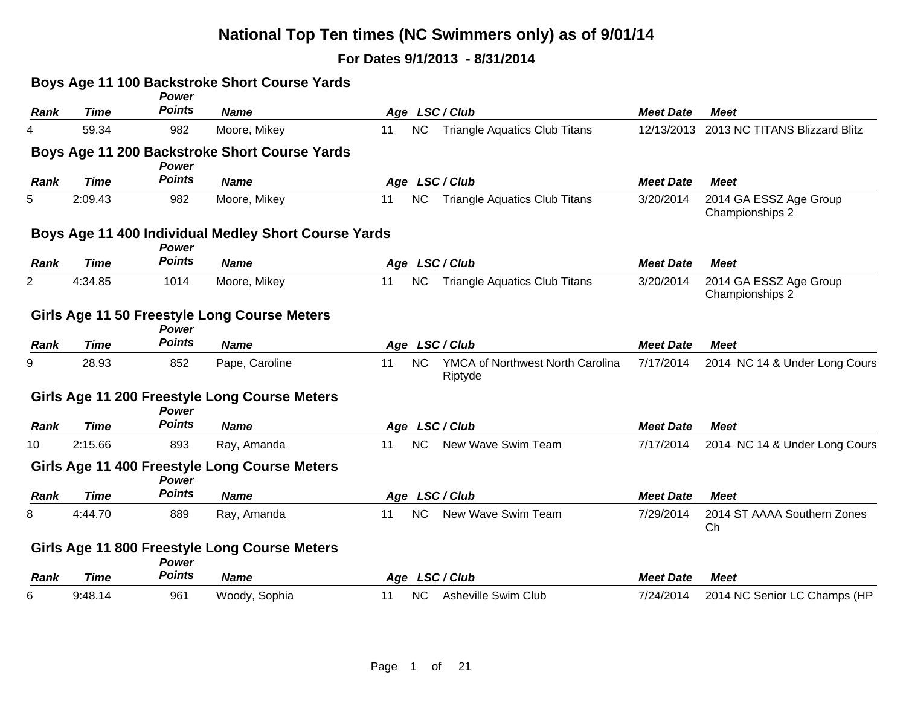|             |             | <b>Power</b>  | Boys Age 11 100 Backstroke Short Course Yards        |    |           |                                             |                  |                                           |
|-------------|-------------|---------------|------------------------------------------------------|----|-----------|---------------------------------------------|------------------|-------------------------------------------|
| <b>Rank</b> | <b>Time</b> | <b>Points</b> | <b>Name</b>                                          |    |           | Age LSC/Club                                | <b>Meet Date</b> | <b>Meet</b>                               |
| 4           | 59.34       | 982           | Moore, Mikey                                         | 11 | <b>NC</b> | <b>Triangle Aquatics Club Titans</b>        |                  | 12/13/2013 2013 NC TITANS Blizzard Blitz  |
|             |             | Power         | Boys Age 11 200 Backstroke Short Course Yards        |    |           |                                             |                  |                                           |
| <b>Rank</b> | <b>Time</b> | <b>Points</b> | <b>Name</b>                                          |    |           | Age LSC/Club                                | <b>Meet Date</b> | <b>Meet</b>                               |
| 5           | 2:09.43     | 982           | Moore, Mikey                                         | 11 | <b>NC</b> | <b>Triangle Aquatics Club Titans</b>        | 3/20/2014        | 2014 GA ESSZ Age Group<br>Championships 2 |
|             |             | Power         | Boys Age 11 400 Individual Medley Short Course Yards |    |           |                                             |                  |                                           |
| <b>Rank</b> | <b>Time</b> | <b>Points</b> | <b>Name</b>                                          |    |           | Age LSC/Club                                | <b>Meet Date</b> | <b>Meet</b>                               |
| 2           | 4:34.85     | 1014          | Moore, Mikey                                         | 11 | <b>NC</b> | <b>Triangle Aquatics Club Titans</b>        | 3/20/2014        | 2014 GA ESSZ Age Group<br>Championships 2 |
|             |             | <b>Power</b>  | Girls Age 11 50 Freestyle Long Course Meters         |    |           |                                             |                  |                                           |
| <b>Rank</b> | <b>Time</b> | <b>Points</b> | <b>Name</b>                                          |    |           | Age LSC/Club                                | <b>Meet Date</b> | <b>Meet</b>                               |
| 9           | 28.93       | 852           | Pape, Caroline                                       | 11 | <b>NC</b> | YMCA of Northwest North Carolina<br>Riptyde | 7/17/2014        | 2014 NC 14 & Under Long Cours             |
|             |             | <b>Power</b>  | Girls Age 11 200 Freestyle Long Course Meters        |    |           |                                             |                  |                                           |
| Rank        | <b>Time</b> | <b>Points</b> | <b>Name</b>                                          |    |           | Age LSC/Club                                | <b>Meet Date</b> | <b>Meet</b>                               |
| 10          | 2:15.66     | 893           | Ray, Amanda                                          | 11 | <b>NC</b> | New Wave Swim Team                          | 7/17/2014        | 2014 NC 14 & Under Long Cours             |
|             |             | <b>Power</b>  | Girls Age 11 400 Freestyle Long Course Meters        |    |           |                                             |                  |                                           |
| Rank        | <b>Time</b> | <b>Points</b> | <b>Name</b>                                          |    |           | Age LSC/Club                                | <b>Meet Date</b> | <b>Meet</b>                               |
| 8           | 4:44.70     | 889           | Ray, Amanda                                          | 11 | <b>NC</b> | New Wave Swim Team                          | 7/29/2014        | 2014 ST AAAA Southern Zones<br>Ch         |
|             |             | <b>Power</b>  | Girls Age 11 800 Freestyle Long Course Meters        |    |           |                                             |                  |                                           |
| Rank        | Time        | <b>Points</b> | <b>Name</b>                                          |    |           | Age LSC/Club                                | <b>Meet Date</b> | Meet                                      |
| 6           | 9:48.14     | 961           | Woody, Sophia                                        | 11 | <b>NC</b> | <b>Asheville Swim Club</b>                  | 7/24/2014        | 2014 NC Senior LC Champs (HP              |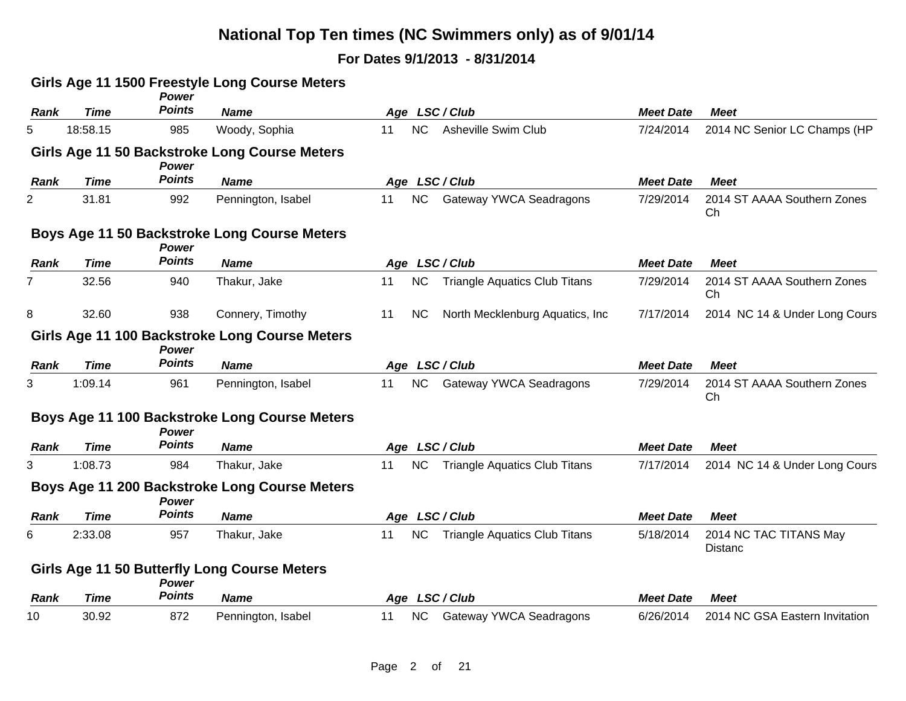|             |             | Power         | Girls Age 11 1500 Freestyle Long Course Meters      |    |           |                                      |                  |                                          |
|-------------|-------------|---------------|-----------------------------------------------------|----|-----------|--------------------------------------|------------------|------------------------------------------|
| <b>Rank</b> | <b>Time</b> | <b>Points</b> | <b>Name</b>                                         |    |           | Age LSC/Club                         | <b>Meet Date</b> | <b>Meet</b>                              |
| 5           | 18:58.15    | 985           | Woody, Sophia                                       | 11 | NC        | <b>Asheville Swim Club</b>           | 7/24/2014        | 2014 NC Senior LC Champs (HP             |
|             |             | Power         | Girls Age 11 50 Backstroke Long Course Meters       |    |           |                                      |                  |                                          |
| <b>Rank</b> | <b>Time</b> | <b>Points</b> | <b>Name</b>                                         |    |           | Age LSC/Club                         | <b>Meet Date</b> | <b>Meet</b>                              |
| 2           | 31.81       | 992           | Pennington, Isabel                                  | 11 | NC        | Gateway YWCA Seadragons              | 7/29/2014        | 2014 ST AAAA Southern Zones<br>Ch        |
|             |             | <b>Power</b>  | Boys Age 11 50 Backstroke Long Course Meters        |    |           |                                      |                  |                                          |
| <b>Rank</b> | <b>Time</b> | <b>Points</b> | <b>Name</b>                                         |    |           | Age LSC/Club                         | <b>Meet Date</b> | <b>Meet</b>                              |
| 7           | 32.56       | 940           | Thakur, Jake                                        | 11 | <b>NC</b> | <b>Triangle Aquatics Club Titans</b> | 7/29/2014        | 2014 ST AAAA Southern Zones<br>Сh        |
| 8           | 32.60       | 938           | Connery, Timothy                                    | 11 | <b>NC</b> | North Mecklenburg Aquatics, Inc.     | 7/17/2014        | 2014 NC 14 & Under Long Cours            |
|             |             | Power         | Girls Age 11 100 Backstroke Long Course Meters      |    |           |                                      |                  |                                          |
| Rank        | <b>Time</b> | <b>Points</b> | <b>Name</b>                                         |    |           | Age LSC/Club                         | <b>Meet Date</b> | <b>Meet</b>                              |
| 3           | 1:09.14     | 961           | Pennington, Isabel                                  | 11 | NC        | Gateway YWCA Seadragons              | 7/29/2014        | 2014 ST AAAA Southern Zones<br>Ch        |
|             |             | Power         | Boys Age 11 100 Backstroke Long Course Meters       |    |           |                                      |                  |                                          |
| Rank        | <b>Time</b> | <b>Points</b> | <b>Name</b>                                         |    |           | Age LSC/Club                         | <b>Meet Date</b> | <b>Meet</b>                              |
| 3           | 1:08.73     | 984           | Thakur, Jake                                        | 11 | <b>NC</b> | <b>Triangle Aquatics Club Titans</b> | 7/17/2014        | 2014 NC 14 & Under Long Cours            |
|             |             | Power         | Boys Age 11 200 Backstroke Long Course Meters       |    |           |                                      |                  |                                          |
| Rank        | <b>Time</b> | <b>Points</b> | <b>Name</b>                                         |    |           | Age LSC/Club                         | <b>Meet Date</b> | <b>Meet</b>                              |
| 6           | 2:33.08     | 957           | Thakur, Jake                                        | 11 | <b>NC</b> | <b>Triangle Aquatics Club Titans</b> | 5/18/2014        | 2014 NC TAC TITANS May<br><b>Distanc</b> |
|             |             | <b>Power</b>  | <b>Girls Age 11 50 Butterfly Long Course Meters</b> |    |           |                                      |                  |                                          |
| Rank        | <b>Time</b> | <b>Points</b> | <b>Name</b>                                         |    |           | Age LSC/Club                         | <b>Meet Date</b> | <b>Meet</b>                              |
| 10          | 30.92       | 872           | Pennington, Isabel                                  | 11 | <b>NC</b> | Gateway YWCA Seadragons              | 6/26/2014        | 2014 NC GSA Eastern Invitation           |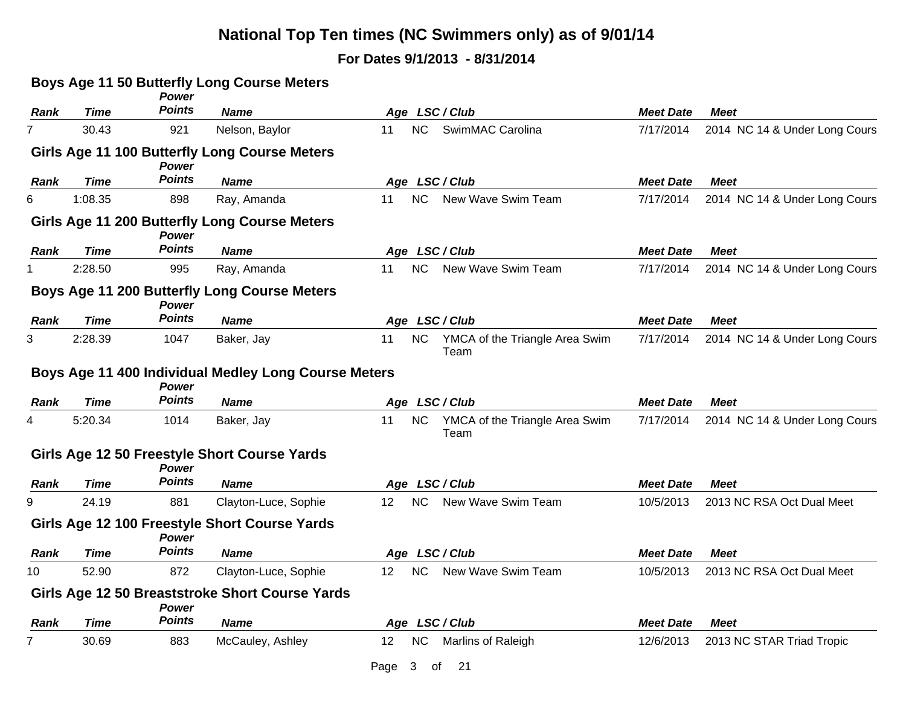|                |             | <b>Power</b>                  | Boys Age 11 50 Butterfly Long Course Meters                         |                 |                                        |                  |                               |
|----------------|-------------|-------------------------------|---------------------------------------------------------------------|-----------------|----------------------------------------|------------------|-------------------------------|
| <b>Rank</b>    | <b>Time</b> | <b>Points</b>                 | <b>Name</b>                                                         |                 | Age LSC/Club                           | <b>Meet Date</b> | <b>Meet</b>                   |
| $\overline{7}$ | 30.43       | 921                           | Nelson, Baylor                                                      | <b>NC</b><br>11 | SwimMAC Carolina                       | 7/17/2014        | 2014 NC 14 & Under Long Cours |
|                |             | <b>Power</b>                  | Girls Age 11 100 Butterfly Long Course Meters                       |                 |                                        |                  |                               |
| Rank           | <b>Time</b> | <b>Points</b>                 | <b>Name</b>                                                         |                 | Age LSC/Club                           | <b>Meet Date</b> | <b>Meet</b>                   |
| 6              | 1:08.35     | 898                           | Ray, Amanda                                                         | <b>NC</b><br>11 | New Wave Swim Team                     | 7/17/2014        | 2014 NC 14 & Under Long Cours |
|                |             | Power                         | Girls Age 11 200 Butterfly Long Course Meters                       |                 |                                        |                  |                               |
| Rank           | <b>Time</b> | <b>Points</b>                 | <b>Name</b>                                                         |                 | Age LSC/Club                           | <b>Meet Date</b> | <b>Meet</b>                   |
|                | 2:28.50     | 995                           | Ray, Amanda                                                         | <b>NC</b><br>11 | New Wave Swim Team                     | 7/17/2014        | 2014 NC 14 & Under Long Cours |
|                |             | <b>Power</b>                  | <b>Boys Age 11 200 Butterfly Long Course Meters</b>                 |                 |                                        |                  |                               |
| <b>Rank</b>    | <b>Time</b> | <b>Points</b>                 | <b>Name</b>                                                         |                 | Age LSC/Club                           | <b>Meet Date</b> | <b>Meet</b>                   |
| 3              | 2:28.39     | 1047                          | Baker, Jay                                                          | <b>NC</b><br>11 | YMCA of the Triangle Area Swim<br>Team | 7/17/2014        | 2014 NC 14 & Under Long Cours |
| Rank           | <b>Time</b> | <b>Power</b><br><b>Points</b> | Boys Age 11 400 Individual Medley Long Course Meters<br><b>Name</b> |                 | Age LSC/Club                           | <b>Meet Date</b> | <b>Meet</b>                   |
| 4              | 5:20.34     | 1014                          | Baker, Jay                                                          | <b>NC</b><br>11 | YMCA of the Triangle Area Swim<br>Team | 7/17/2014        | 2014 NC 14 & Under Long Cours |
|                |             | Power                         | Girls Age 12 50 Freestyle Short Course Yards                        |                 |                                        |                  |                               |
| Rank           | Time        | Points                        | <b>Name</b>                                                         |                 | Age LSC/Club                           | <b>Meet Date</b> | <b>Meet</b>                   |
| 9              | 24.19       | 881                           | Clayton-Luce, Sophie                                                | <b>NC</b><br>12 | New Wave Swim Team                     | 10/5/2013        | 2013 NC RSA Oct Dual Meet     |
|                |             | <b>Power</b>                  | Girls Age 12 100 Freestyle Short Course Yards                       |                 |                                        |                  |                               |
| Rank           | Time        | <b>Points</b>                 | <b>Name</b>                                                         |                 | Age LSC/Club                           | <b>Meet Date</b> | <b>Meet</b>                   |
| 10             | 52.90       | 872                           | Clayton-Luce, Sophie                                                | NC<br>12        | New Wave Swim Team                     | 10/5/2013        | 2013 NC RSA Oct Dual Meet     |
|                |             | <b>Power</b>                  | Girls Age 12 50 Breaststroke Short Course Yards                     |                 |                                        |                  |                               |
| Rank           | Time        | <b>Points</b>                 | <b>Name</b>                                                         |                 | Age LSC/Club                           | <b>Meet Date</b> | <b>Meet</b>                   |
| 7              | 30.69       | 883                           | McCauley, Ashley                                                    | 12<br><b>NC</b> | Marlins of Raleigh                     | 12/6/2013        | 2013 NC STAR Triad Tropic     |
|                |             |                               |                                                                     | Page<br>3       | 21<br>οf                               |                  |                               |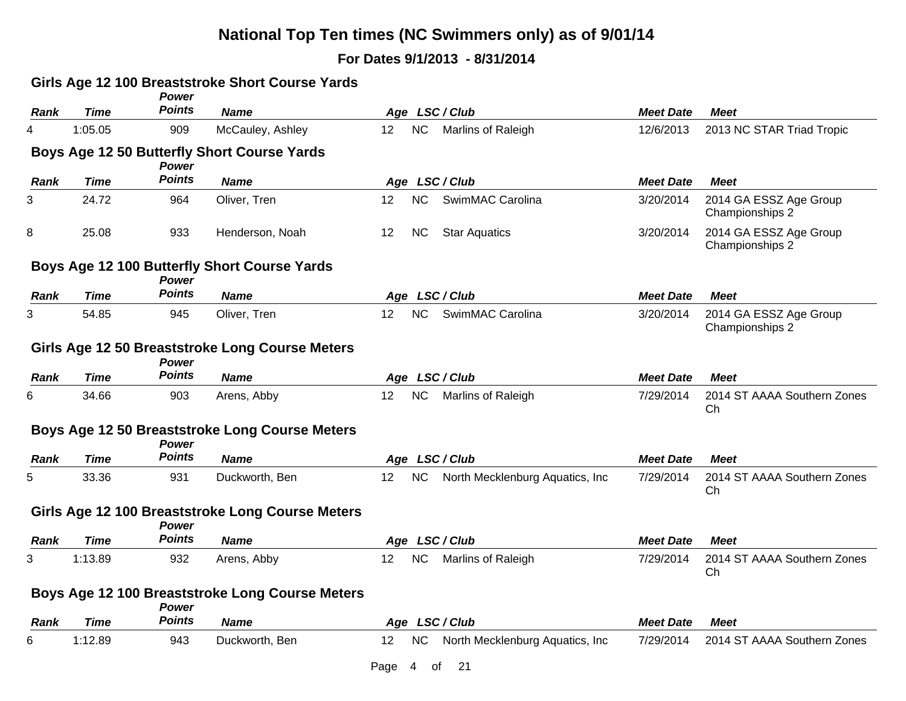|      |             | Power         | Girls Age 12 100 Breaststroke Short Course Yards      |                                                          |                  |                                           |
|------|-------------|---------------|-------------------------------------------------------|----------------------------------------------------------|------------------|-------------------------------------------|
| Rank | <b>Time</b> | <b>Points</b> | <b>Name</b>                                           | Age LSC/Club                                             | <b>Meet Date</b> | <b>Meet</b>                               |
| 4    | 1:05.05     | 909           | McCauley, Ashley                                      | NC<br><b>Marlins of Raleigh</b><br>12 <sup>2</sup>       | 12/6/2013        | 2013 NC STAR Triad Tropic                 |
|      |             | Power         | Boys Age 12 50 Butterfly Short Course Yards           |                                                          |                  |                                           |
| Rank | <b>Time</b> | Points        | <b>Name</b>                                           | Age LSC/Club                                             | <b>Meet Date</b> | <b>Meet</b>                               |
| 3    | 24.72       | 964           | Oliver, Tren                                          | <b>NC</b><br>SwimMAC Carolina<br>12                      | 3/20/2014        | 2014 GA ESSZ Age Group<br>Championships 2 |
| 8    | 25.08       | 933           | Henderson, Noah                                       | 12<br><b>NC</b><br><b>Star Aquatics</b>                  | 3/20/2014        | 2014 GA ESSZ Age Group<br>Championships 2 |
|      |             | Power         | Boys Age 12 100 Butterfly Short Course Yards          |                                                          |                  |                                           |
| Rank | <b>Time</b> | <b>Points</b> | <b>Name</b>                                           | Age LSC/Club                                             | <b>Meet Date</b> | <b>Meet</b>                               |
| 3    | 54.85       | 945           | Oliver, Tren                                          | <b>NC</b><br>12 <sup>2</sup><br>SwimMAC Carolina         | 3/20/2014        | 2014 GA ESSZ Age Group<br>Championships 2 |
|      |             | <b>Power</b>  | Girls Age 12 50 Breaststroke Long Course Meters       |                                                          |                  |                                           |
| Rank | Time        | <b>Points</b> | <b>Name</b>                                           | Age LSC/Club                                             | <b>Meet Date</b> | <b>Meet</b>                               |
| 6    | 34.66       | 903           | Arens, Abby                                           | <b>NC</b><br>Marlins of Raleigh<br>12                    | 7/29/2014        | 2014 ST AAAA Southern Zones<br>Ch         |
|      |             | Power         | <b>Boys Age 12 50 Breaststroke Long Course Meters</b> |                                                          |                  |                                           |
| Rank | <b>Time</b> | Points        | <b>Name</b>                                           | Age LSC/Club                                             | <b>Meet Date</b> | <b>Meet</b>                               |
| 5    | 33.36       | 931           | Duckworth, Ben                                        | 12<br><b>NC</b><br>North Mecklenburg Aquatics, Inc.      | 7/29/2014        | 2014 ST AAAA Southern Zones<br>Ch         |
|      |             | Power         | Girls Age 12 100 Breaststroke Long Course Meters      |                                                          |                  |                                           |
| Rank | <b>Time</b> | <b>Points</b> | <b>Name</b>                                           | Age LSC/Club                                             | <b>Meet Date</b> | <b>Meet</b>                               |
| 3    | 1:13.89     | 932           | Arens, Abby                                           | NC<br>Marlins of Raleigh<br>12 <sup>2</sup>              | 7/29/2014        | 2014 ST AAAA Southern Zones<br>Ch         |
|      |             | Power         | Boys Age 12 100 Breaststroke Long Course Meters       |                                                          |                  |                                           |
| Rank | <b>Time</b> | <b>Points</b> | <b>Name</b>                                           | Age LSC/Club                                             | <b>Meet Date</b> | <b>Meet</b>                               |
| 6    | 1:12.89     | 943           | Duckworth, Ben                                        | $12 \,$<br><b>NC</b><br>North Mecklenburg Aquatics, Inc. | 7/29/2014        | 2014 ST AAAA Southern Zones               |
|      |             |               |                                                       | Page<br>21<br>4<br>оf                                    |                  |                                           |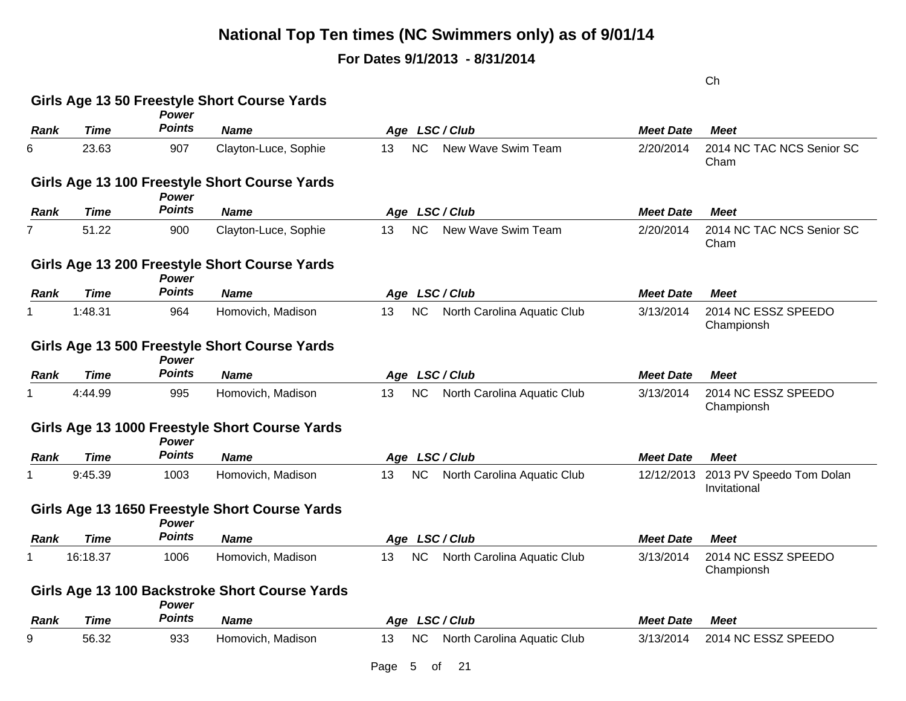### **For Dates 9/1/2013 - 8/31/2014**

Ch

|             |             |                               | Girls Age 13 50 Freestyle Short Course Yards   |                                                |                  |                                          |
|-------------|-------------|-------------------------------|------------------------------------------------|------------------------------------------------|------------------|------------------------------------------|
| Rank        | <b>Time</b> | Power<br><b>Points</b>        | <b>Name</b>                                    | Age LSC/Club                                   | <b>Meet Date</b> | <b>Meet</b>                              |
| 6           | 23.63       | 907                           | Clayton-Luce, Sophie                           | NC<br>New Wave Swim Team<br>13                 | 2/20/2014        | 2014 NC TAC NCS Senior SC<br>Cham        |
|             |             | <b>Power</b>                  | Girls Age 13 100 Freestyle Short Course Yards  |                                                |                  |                                          |
| Rank        | Time        | <b>Points</b>                 | <b>Name</b>                                    | Age LSC/Club                                   | <b>Meet Date</b> | <b>Meet</b>                              |
|             | 51.22       | 900                           | Clayton-Luce, Sophie                           | <b>NC</b><br>New Wave Swim Team<br>13          | 2/20/2014        | 2014 NC TAC NCS Senior SC<br>Cham        |
|             |             | <b>Power</b>                  | Girls Age 13 200 Freestyle Short Course Yards  |                                                |                  |                                          |
| Rank        | Time        | <b>Points</b>                 | <b>Name</b>                                    | Age LSC/Club                                   | <b>Meet Date</b> | <b>Meet</b>                              |
|             | 1:48.31     | 964                           | Homovich, Madison                              | <b>NC</b><br>13<br>North Carolina Aquatic Club | 3/13/2014        | 2014 NC ESSZ SPEEDO<br>Championsh        |
|             |             | <b>Power</b>                  | Girls Age 13 500 Freestyle Short Course Yards  |                                                |                  |                                          |
| Rank        | Time        | <b>Points</b>                 | <b>Name</b>                                    | Age LSC/Club                                   | <b>Meet Date</b> | Meet                                     |
|             | 4:44.99     | 995                           | Homovich, Madison                              | <b>NC</b><br>North Carolina Aquatic Club<br>13 | 3/13/2014        | 2014 NC ESSZ SPEEDO<br>Championsh        |
|             |             | <b>Power</b>                  | Girls Age 13 1000 Freestyle Short Course Yards |                                                |                  |                                          |
| <b>Rank</b> | Time        | <b>Points</b>                 | <b>Name</b>                                    | Age LSC/Club                                   | <b>Meet Date</b> | <b>Meet</b>                              |
|             | 9:45.39     | 1003                          | Homovich, Madison                              | <b>NC</b><br>North Carolina Aquatic Club<br>13 | 12/12/2013       | 2013 PV Speedo Tom Dolan<br>Invitational |
|             |             |                               | Girls Age 13 1650 Freestyle Short Course Yards |                                                |                  |                                          |
| Rank        | Time        | <b>Power</b><br><b>Points</b> | <b>Name</b>                                    | Age LSC/Club                                   | <b>Meet Date</b> | <b>Meet</b>                              |
|             | 16:18.37    | 1006                          | Homovich, Madison                              | <b>NC</b><br>13<br>North Carolina Aquatic Club | 3/13/2014        | 2014 NC ESSZ SPEEDO                      |
|             |             |                               |                                                |                                                |                  | Championsh                               |
|             |             | <b>Power</b>                  | Girls Age 13 100 Backstroke Short Course Yards |                                                |                  |                                          |
| Rank        | <b>Time</b> | <b>Points</b>                 | <b>Name</b>                                    | Age LSC/Club                                   | <b>Meet Date</b> | <b>Meet</b>                              |
| 9           | 56.32       | 933                           | Homovich, Madison                              | <b>NC</b><br>13<br>North Carolina Aquatic Club | 3/13/2014        | 2014 NC ESSZ SPEEDO                      |
|             |             |                               |                                                | Page<br>21<br>5<br>0f                          |                  |                                          |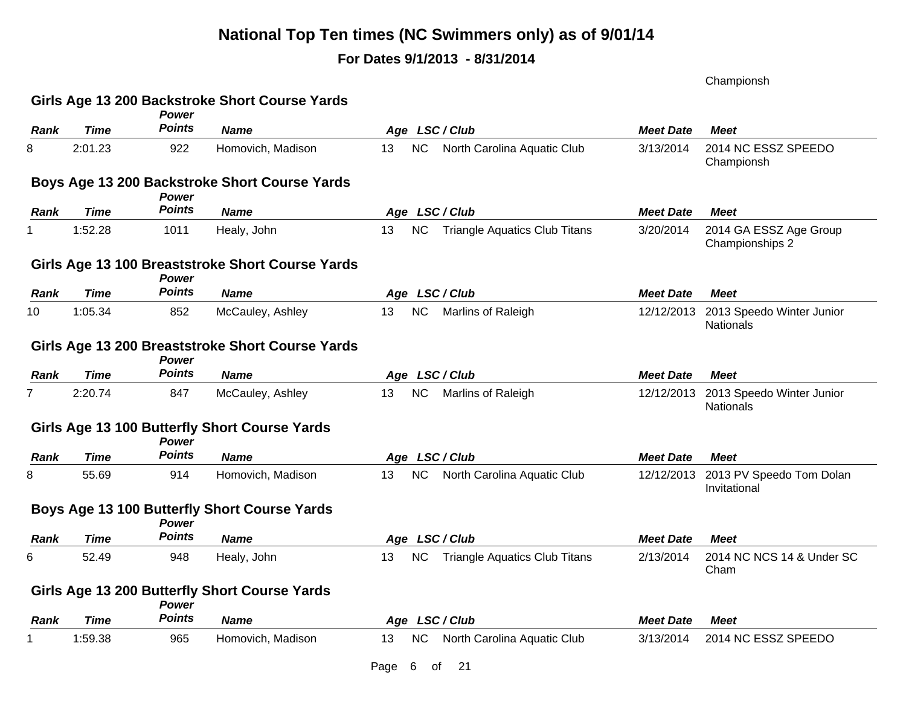### **For Dates 9/1/2013 - 8/31/2014**

Championsh

|             |             | Power         | Girls Age 13 200 Backstroke Short Course Yards   |      |           |                                      |                  |                                           |
|-------------|-------------|---------------|--------------------------------------------------|------|-----------|--------------------------------------|------------------|-------------------------------------------|
| Rank        | Time        | <b>Points</b> | <b>Name</b>                                      |      |           | Age LSC/Club                         | <b>Meet Date</b> | <b>Meet</b>                               |
| 8           | 2:01.23     | 922           | Homovich, Madison                                | 13   | <b>NC</b> | North Carolina Aquatic Club          | 3/13/2014        | 2014 NC ESSZ SPEEDO<br>Championsh         |
|             |             | <b>Power</b>  | Boys Age 13 200 Backstroke Short Course Yards    |      |           |                                      |                  |                                           |
| Rank        | Time        | <b>Points</b> | <b>Name</b>                                      |      |           | Age LSC/Club                         | <b>Meet Date</b> | Meet                                      |
|             | 1:52.28     | 1011          | Healy, John                                      | 13   | <b>NC</b> | <b>Triangle Aquatics Club Titans</b> | 3/20/2014        | 2014 GA ESSZ Age Group<br>Championships 2 |
|             |             | <b>Power</b>  | Girls Age 13 100 Breaststroke Short Course Yards |      |           |                                      |                  |                                           |
| Rank        | <b>Time</b> | <b>Points</b> | <b>Name</b>                                      |      |           | Age LSC/Club                         | <b>Meet Date</b> | <b>Meet</b>                               |
| 10          | 1:05.34     | 852           | McCauley, Ashley                                 | 13   | <b>NC</b> | Marlins of Raleigh                   | 12/12/2013       | 2013 Speedo Winter Junior<br>Nationals    |
|             |             | Power         | Girls Age 13 200 Breaststroke Short Course Yards |      |           |                                      |                  |                                           |
| Rank        | <b>Time</b> | <b>Points</b> | <b>Name</b>                                      |      |           | Age LSC/Club                         | <b>Meet Date</b> | <b>Meet</b>                               |
|             | 2:20.74     | 847           | McCauley, Ashley                                 | 13   | <b>NC</b> | Marlins of Raleigh                   | 12/12/2013       | 2013 Speedo Winter Junior<br>Nationals    |
|             |             | Power         | Girls Age 13 100 Butterfly Short Course Yards    |      |           |                                      |                  |                                           |
| Rank        | <b>Time</b> | <b>Points</b> | <b>Name</b>                                      |      |           | Age LSC/Club                         | <b>Meet Date</b> | <b>Meet</b>                               |
| 8           | 55.69       | 914           | Homovich, Madison                                | 13   | <b>NC</b> | North Carolina Aquatic Club          | 12/12/2013       | 2013 PV Speedo Tom Dolan<br>Invitational  |
|             |             | Power         | Boys Age 13 100 Butterfly Short Course Yards     |      |           |                                      |                  |                                           |
| Rank        | Time        | <b>Points</b> | <b>Name</b>                                      |      |           | Age LSC/Club                         | <b>Meet Date</b> | <b>Meet</b>                               |
| 6           | 52.49       | 948           | Healy, John                                      | 13   | <b>NC</b> | <b>Triangle Aquatics Club Titans</b> | 2/13/2014        | 2014 NC NCS 14 & Under SC<br>Cham         |
|             |             | Power         | Girls Age 13 200 Butterfly Short Course Yards    |      |           |                                      |                  |                                           |
| <b>Rank</b> | <b>Time</b> | <b>Points</b> | <b>Name</b>                                      |      |           | Age LSC/Club                         | <b>Meet Date</b> | <b>Meet</b>                               |
|             | 1:59.38     | 965           | Homovich, Madison                                | 13   | NС        | North Carolina Aquatic Club          | 3/13/2014        | 2014 NC ESSZ SPEEDO                       |
|             |             |               |                                                  | Page | 6         | 21<br>οf                             |                  |                                           |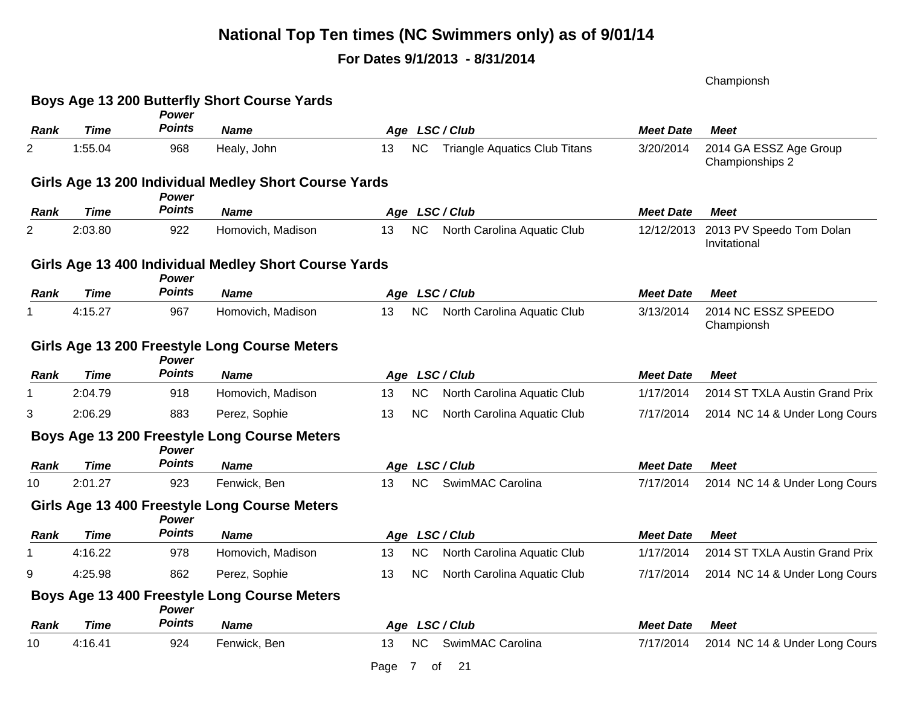### **For Dates 9/1/2013 - 8/31/2014**

Championsh

|             |             |                        | Boys Age 13 200 Butterfly Short Course Yards          |                                                  |                  |                                           |
|-------------|-------------|------------------------|-------------------------------------------------------|--------------------------------------------------|------------------|-------------------------------------------|
| <b>Rank</b> | Time        | Power<br><b>Points</b> | <b>Name</b>                                           | Age LSC/Club                                     | <b>Meet Date</b> | <b>Meet</b>                               |
| 2           | 1:55.04     | 968                    | Healy, John                                           | NC<br><b>Triangle Aquatics Club Titans</b><br>13 | 3/20/2014        | 2014 GA ESSZ Age Group<br>Championships 2 |
|             |             | Power                  | Girls Age 13 200 Individual Medley Short Course Yards |                                                  |                  |                                           |
| Rank        | Time        | <b>Points</b>          | <b>Name</b>                                           | Age LSC/Club                                     | <b>Meet Date</b> | <b>Meet</b>                               |
| 2           | 2:03.80     | 922                    | Homovich, Madison                                     | <b>NC</b><br>13<br>North Carolina Aquatic Club   | 12/12/2013       | 2013 PV Speedo Tom Dolan<br>Invitational  |
|             |             | <b>Power</b>           | Girls Age 13 400 Individual Medley Short Course Yards |                                                  |                  |                                           |
| Rank        | Time        | <b>Points</b>          | <b>Name</b>                                           | Age LSC/Club                                     | <b>Meet Date</b> | <b>Meet</b>                               |
|             | 4:15.27     | 967                    | Homovich, Madison                                     | NC<br>North Carolina Aquatic Club<br>13          | 3/13/2014        | 2014 NC ESSZ SPEEDO<br>Championsh         |
|             |             | Power                  | Girls Age 13 200 Freestyle Long Course Meters         |                                                  |                  |                                           |
| <b>Rank</b> | Time        | <b>Points</b>          | <b>Name</b>                                           | Age LSC/Club                                     | <b>Meet Date</b> | <b>Meet</b>                               |
|             | 2:04.79     | 918                    | Homovich, Madison                                     | 13<br><b>NC</b><br>North Carolina Aquatic Club   | 1/17/2014        | 2014 ST TXLA Austin Grand Prix            |
| 3           | 2:06.29     | 883                    | Perez, Sophie                                         | <b>NC</b><br>North Carolina Aquatic Club<br>13   | 7/17/2014        | 2014 NC 14 & Under Long Cours             |
|             |             | Power                  | Boys Age 13 200 Freestyle Long Course Meters          |                                                  |                  |                                           |
| Rank        | <b>Time</b> | <b>Points</b>          | <b>Name</b>                                           | Age LSC/Club                                     | <b>Meet Date</b> | <b>Meet</b>                               |
| 10          | 2:01.27     | 923                    | Fenwick, Ben                                          | <b>NC</b><br>SwimMAC Carolina<br>13              | 7/17/2014        | 2014 NC 14 & Under Long Cours             |
|             |             | <b>Power</b>           | Girls Age 13 400 Freestyle Long Course Meters         |                                                  |                  |                                           |
| Rank        | Time        | <b>Points</b>          | <b>Name</b>                                           | Age LSC/Club                                     | <b>Meet Date</b> | <b>Meet</b>                               |
|             | 4:16.22     | 978                    | Homovich, Madison                                     | NC<br>13<br>North Carolina Aquatic Club          | 1/17/2014        | 2014 ST TXLA Austin Grand Prix            |
| 9           | 4:25.98     | 862                    | Perez, Sophie                                         | North Carolina Aquatic Club<br>13<br><b>NC</b>   | 7/17/2014        | 2014 NC 14 & Under Long Cours             |
|             |             | <b>Power</b>           | Boys Age 13 400 Freestyle Long Course Meters          |                                                  |                  |                                           |
| Rank        | Time        | <b>Points</b>          | <b>Name</b>                                           | Age LSC/Club                                     | <b>Meet Date</b> | <b>Meet</b>                               |
| 10          | 4:16.41     | 924                    | Fenwick, Ben                                          | NC<br>SwimMAC Carolina<br>13                     | 7/17/2014        | 2014 NC 14 & Under Long Cours             |
|             |             |                        |                                                       | Page<br>7<br>21<br>оf                            |                  |                                           |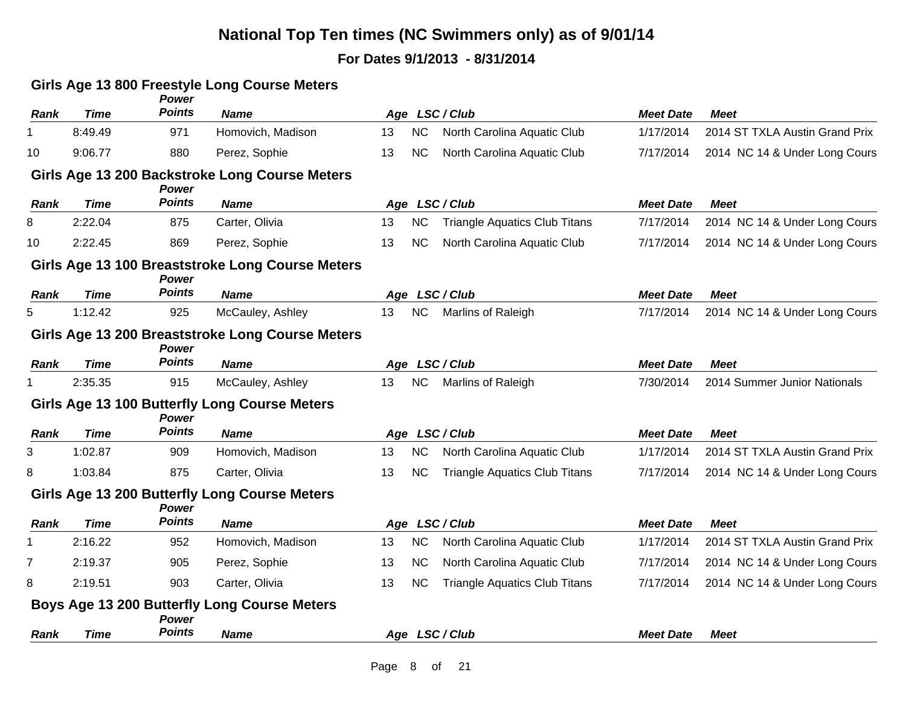### **For Dates 9/1/2013 - 8/31/2014**

#### **Girls Age 13 800 Freestyle Long Course Meters**

| <b>Rank</b> | <b>Time</b> | Power<br><b>Points</b> | <b>Name</b>                                          |    |           | Age LSC/Club                         | <b>Meet Date</b> | <b>Meet</b>                    |
|-------------|-------------|------------------------|------------------------------------------------------|----|-----------|--------------------------------------|------------------|--------------------------------|
| 1           | 8:49.49     | 971                    | Homovich, Madison                                    | 13 | <b>NC</b> | North Carolina Aquatic Club          | 1/17/2014        | 2014 ST TXLA Austin Grand Prix |
| 10          | 9:06.77     | 880                    | Perez, Sophie                                        | 13 | <b>NC</b> | North Carolina Aquatic Club          | 7/17/2014        | 2014 NC 14 & Under Long Cours  |
|             |             | Power                  | Girls Age 13 200 Backstroke Long Course Meters       |    |           |                                      |                  |                                |
| <b>Rank</b> | <b>Time</b> | <b>Points</b>          | <b>Name</b>                                          |    |           | Age LSC/Club                         | <b>Meet Date</b> | <b>Meet</b>                    |
| 8           | 2:22.04     | 875                    | Carter, Olivia                                       | 13 | <b>NC</b> | <b>Triangle Aquatics Club Titans</b> | 7/17/2014        | 2014 NC 14 & Under Long Cours  |
| 10          | 2:22.45     | 869                    | Perez, Sophie                                        | 13 | <b>NC</b> | North Carolina Aquatic Club          | 7/17/2014        | 2014 NC 14 & Under Long Cours  |
|             |             | Power                  | Girls Age 13 100 Breaststroke Long Course Meters     |    |           |                                      |                  |                                |
| Rank        | <b>Time</b> | <b>Points</b>          | <b>Name</b>                                          |    |           | Age LSC/Club                         | <b>Meet Date</b> | <b>Meet</b>                    |
| 5           | 1:12.42     | 925                    | McCauley, Ashley                                     | 13 | <b>NC</b> | Marlins of Raleigh                   | 7/17/2014        | 2014 NC 14 & Under Long Cours  |
|             |             | Power                  | Girls Age 13 200 Breaststroke Long Course Meters     |    |           |                                      |                  |                                |
| Rank        | <b>Time</b> | <b>Points</b>          | <b>Name</b>                                          |    |           | Age LSC/Club                         | <b>Meet Date</b> | <b>Meet</b>                    |
|             | 2:35.35     | 915                    | McCauley, Ashley                                     | 13 | <b>NC</b> | Marlins of Raleigh                   | 7/30/2014        | 2014 Summer Junior Nationals   |
|             |             | <b>Power</b>           | Girls Age 13 100 Butterfly Long Course Meters        |    |           |                                      |                  |                                |
| Rank        | <b>Time</b> | <b>Points</b>          | <b>Name</b>                                          |    |           | Age LSC/Club                         | <b>Meet Date</b> | <b>Meet</b>                    |
| 3           | 1:02.87     | 909                    | Homovich, Madison                                    | 13 | <b>NC</b> | North Carolina Aquatic Club          | 1/17/2014        | 2014 ST TXLA Austin Grand Prix |
| 8           | 1:03.84     | 875                    | Carter, Olivia                                       | 13 | <b>NC</b> | <b>Triangle Aquatics Club Titans</b> | 7/17/2014        | 2014 NC 14 & Under Long Cours  |
|             |             | Power                  | <b>Girls Age 13 200 Butterfly Long Course Meters</b> |    |           |                                      |                  |                                |
| Rank        | <b>Time</b> | <b>Points</b>          | <b>Name</b>                                          |    |           | Age LSC/Club                         | <b>Meet Date</b> | <b>Meet</b>                    |
|             | 2:16.22     | 952                    | Homovich, Madison                                    | 13 | <b>NC</b> | North Carolina Aquatic Club          | 1/17/2014        | 2014 ST TXLA Austin Grand Prix |
| 7           | 2:19.37     | 905                    | Perez, Sophie                                        | 13 | <b>NC</b> | North Carolina Aquatic Club          | 7/17/2014        | 2014 NC 14 & Under Long Cours  |
| 8           | 2:19.51     | 903                    | Carter, Olivia                                       | 13 | <b>NC</b> | <b>Triangle Aquatics Club Titans</b> | 7/17/2014        | 2014 NC 14 & Under Long Cours  |
|             |             | Power                  | Boys Age 13 200 Butterfly Long Course Meters         |    |           |                                      |                  |                                |
| Rank        | <b>Time</b> | <b>Points</b>          | <b>Name</b>                                          |    |           | Age LSC/Club                         | <b>Meet Date</b> | <b>Meet</b>                    |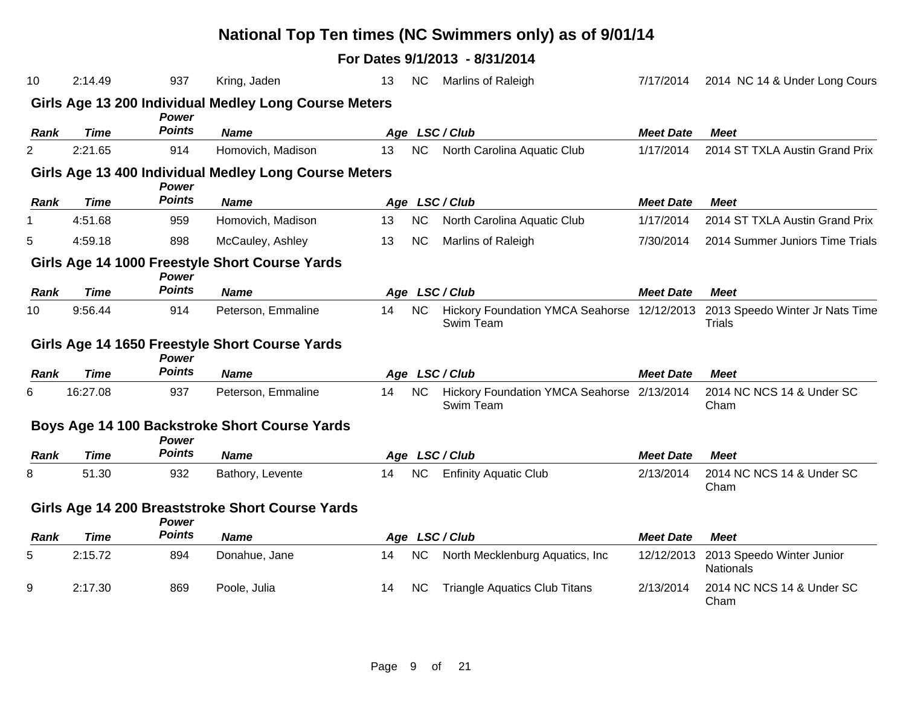| 10          | 2:14.49     | 937           | Kring, Jaden                                          | 13 | <b>NC</b> | Marlins of Raleigh                                       | 7/17/2014        | 2014 NC 14 & Under Long Cours                    |
|-------------|-------------|---------------|-------------------------------------------------------|----|-----------|----------------------------------------------------------|------------------|--------------------------------------------------|
|             |             | <b>Power</b>  | Girls Age 13 200 Individual Medley Long Course Meters |    |           |                                                          |                  |                                                  |
| <b>Rank</b> | <b>Time</b> | <b>Points</b> | <b>Name</b>                                           |    |           | Age LSC/Club                                             | <b>Meet Date</b> | <b>Meet</b>                                      |
| 2           | 2:21.65     | 914           | Homovich, Madison                                     | 13 | NC        | North Carolina Aquatic Club                              | 1/17/2014        | 2014 ST TXLA Austin Grand Prix                   |
|             |             | <b>Power</b>  | Girls Age 13 400 Individual Medley Long Course Meters |    |           |                                                          |                  |                                                  |
| <b>Rank</b> | <b>Time</b> | <b>Points</b> | <b>Name</b>                                           |    |           | Age LSC/Club                                             | <b>Meet Date</b> | <b>Meet</b>                                      |
| 1           | 4:51.68     | 959           | Homovich, Madison                                     | 13 | NC        | North Carolina Aquatic Club                              | 1/17/2014        | 2014 ST TXLA Austin Grand Prix                   |
| 5           | 4:59.18     | 898           | McCauley, Ashley                                      | 13 | <b>NC</b> | Marlins of Raleigh                                       | 7/30/2014        | 2014 Summer Juniors Time Trials                  |
|             |             | Power         | Girls Age 14 1000 Freestyle Short Course Yards        |    |           |                                                          |                  |                                                  |
| <b>Rank</b> | <b>Time</b> | <b>Points</b> | <b>Name</b>                                           |    |           | Age LSC/Club                                             | <b>Meet Date</b> | <b>Meet</b>                                      |
| 10          | 9:56.44     | 914           | Peterson, Emmaline                                    | 14 | <b>NC</b> | Hickory Foundation YMCA Seahorse 12/12/2013<br>Swim Team |                  | 2013 Speedo Winter Jr Nats Time<br><b>Trials</b> |
|             |             | Power         | Girls Age 14 1650 Freestyle Short Course Yards        |    |           |                                                          |                  |                                                  |
| Rank        | <b>Time</b> | <b>Points</b> | <b>Name</b>                                           |    |           | Age LSC/Club                                             | <b>Meet Date</b> | <b>Meet</b>                                      |
| 6           | 16:27.08    | 937           | Peterson, Emmaline                                    | 14 | <b>NC</b> | Hickory Foundation YMCA Seahorse 2/13/2014<br>Swim Team  |                  | 2014 NC NCS 14 & Under SC<br>Cham                |
|             |             | <b>Power</b>  | Boys Age 14 100 Backstroke Short Course Yards         |    |           |                                                          |                  |                                                  |
| Rank        | <b>Time</b> | <b>Points</b> | <b>Name</b>                                           |    |           | Age LSC/Club                                             | <b>Meet Date</b> | <b>Meet</b>                                      |
| 8           | 51.30       | 932           | Bathory, Levente                                      | 14 | NC        | <b>Enfinity Aquatic Club</b>                             | 2/13/2014        | 2014 NC NCS 14 & Under SC<br>Cham                |
|             |             | <b>Power</b>  | Girls Age 14 200 Breaststroke Short Course Yards      |    |           |                                                          |                  |                                                  |
| <b>Rank</b> | <b>Time</b> | <b>Points</b> | <b>Name</b>                                           |    |           | Age LSC/Club                                             | <b>Meet Date</b> | <b>Meet</b>                                      |
| 5           | 2:15.72     | 894           | Donahue, Jane                                         | 14 | <b>NC</b> | North Mecklenburg Aquatics, Inc.                         | 12/12/2013       | 2013 Speedo Winter Junior<br>Nationals           |
| 9           | 2:17.30     | 869           | Poole, Julia                                          | 14 | <b>NC</b> | <b>Triangle Aquatics Club Titans</b>                     | 2/13/2014        | 2014 NC NCS 14 & Under SC<br>Cham                |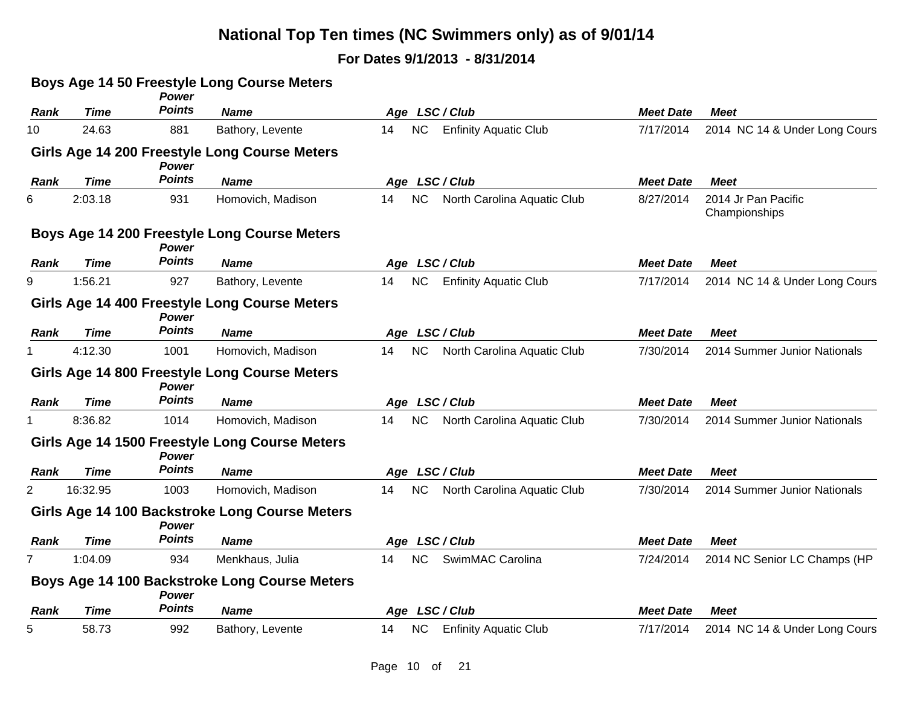|             |             | <b>Power</b>  | <b>Boys Age 14 50 Freestyle Long Course Meters</b> |                                                 |                  |                                      |
|-------------|-------------|---------------|----------------------------------------------------|-------------------------------------------------|------------------|--------------------------------------|
| Rank        | <b>Time</b> | <b>Points</b> | <b>Name</b>                                        | Age LSC/Club                                    | <b>Meet Date</b> | <b>Meet</b>                          |
| 10          | 24.63       | 881           | Bathory, Levente                                   | <b>NC</b><br><b>Enfinity Aquatic Club</b><br>14 | 7/17/2014        | 2014 NC 14 & Under Long Cours        |
|             |             | <b>Power</b>  | Girls Age 14 200 Freestyle Long Course Meters      |                                                 |                  |                                      |
| Rank        | <b>Time</b> | <b>Points</b> | <b>Name</b>                                        | Age LSC/Club                                    | <b>Meet Date</b> | <b>Meet</b>                          |
| 6           | 2:03.18     | 931           | Homovich, Madison                                  | NC<br>14<br>North Carolina Aquatic Club         | 8/27/2014        | 2014 Jr Pan Pacific<br>Championships |
|             |             | <b>Power</b>  | Boys Age 14 200 Freestyle Long Course Meters       |                                                 |                  |                                      |
| <b>Rank</b> | <b>Time</b> | <b>Points</b> | <b>Name</b>                                        | Age LSC/Club                                    | <b>Meet Date</b> | <b>Meet</b>                          |
| 9           | 1:56.21     | 927           | Bathory, Levente                                   | <b>NC</b><br><b>Enfinity Aquatic Club</b><br>14 | 7/17/2014        | 2014 NC 14 & Under Long Cours        |
|             |             | <b>Power</b>  | Girls Age 14 400 Freestyle Long Course Meters      |                                                 |                  |                                      |
| Rank        | <b>Time</b> | <b>Points</b> | <b>Name</b>                                        | Age LSC/Club                                    | <b>Meet Date</b> | <b>Meet</b>                          |
|             | 4:12.30     | 1001          | Homovich, Madison                                  | 14<br><b>NC</b><br>North Carolina Aquatic Club  | 7/30/2014        | 2014 Summer Junior Nationals         |
|             |             | <b>Power</b>  | Girls Age 14 800 Freestyle Long Course Meters      |                                                 |                  |                                      |
| Rank        | <b>Time</b> | <b>Points</b> | <b>Name</b>                                        | Age LSC/Club                                    | <b>Meet Date</b> | <b>Meet</b>                          |
|             | 8:36.82     | 1014          | Homovich, Madison                                  | <b>NC</b><br>North Carolina Aquatic Club<br>14  | 7/30/2014        | 2014 Summer Junior Nationals         |
|             |             | Power         | Girls Age 14 1500 Freestyle Long Course Meters     |                                                 |                  |                                      |
| Rank        | <b>Time</b> | <b>Points</b> | <b>Name</b>                                        | Age LSC/Club                                    | <b>Meet Date</b> | <b>Meet</b>                          |
| 2           | 16:32.95    | 1003          | Homovich, Madison                                  | <b>NC</b><br>North Carolina Aquatic Club<br>14  | 7/30/2014        | 2014 Summer Junior Nationals         |
|             |             | <b>Power</b>  | Girls Age 14 100 Backstroke Long Course Meters     |                                                 |                  |                                      |
| Rank        | <b>Time</b> | <b>Points</b> | <b>Name</b>                                        | Age LSC/Club                                    | <b>Meet Date</b> | <b>Meet</b>                          |
| 7           | 1:04.09     | 934           | Menkhaus, Julia                                    | <b>NC</b><br>SwimMAC Carolina<br>14             | 7/24/2014        | 2014 NC Senior LC Champs (HP         |
|             |             | <b>Power</b>  | Boys Age 14 100 Backstroke Long Course Meters      |                                                 |                  |                                      |
| <b>Rank</b> | <b>Time</b> | <b>Points</b> | <b>Name</b>                                        | Age LSC/Club                                    | <b>Meet Date</b> | <b>Meet</b>                          |
| 5           | 58.73       | 992           | Bathory, Levente                                   | <b>Enfinity Aquatic Club</b><br><b>NC</b><br>14 | 7/17/2014        | 2014 NC 14 & Under Long Cours        |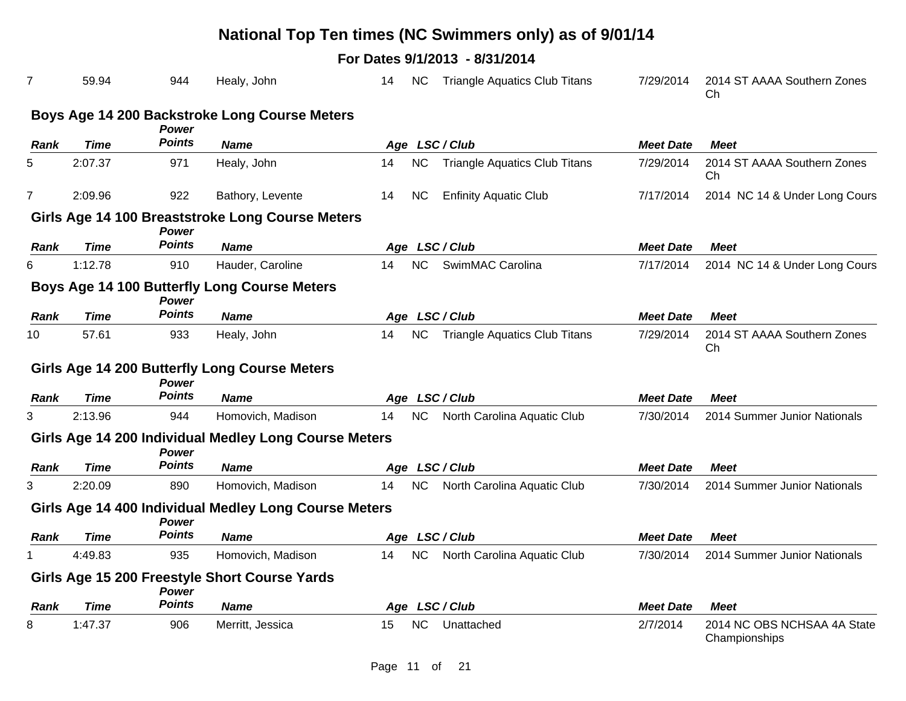|                |             |               |                                                       |    |           | National Top Ten times (NC Swimmers only) as of 9/01/14 |                  |                                              |
|----------------|-------------|---------------|-------------------------------------------------------|----|-----------|---------------------------------------------------------|------------------|----------------------------------------------|
|                |             |               |                                                       |    |           | For Dates 9/1/2013 - 8/31/2014                          |                  |                                              |
| 7              | 59.94       | 944           | Healy, John                                           | 14 | <b>NC</b> | <b>Triangle Aquatics Club Titans</b>                    | 7/29/2014        | 2014 ST AAAA Southern Zones<br>Ch            |
|                |             |               | Boys Age 14 200 Backstroke Long Course Meters         |    |           |                                                         |                  |                                              |
|                |             | <b>Power</b>  |                                                       |    |           |                                                         |                  |                                              |
| <b>Rank</b>    | <b>Time</b> | <b>Points</b> | <b>Name</b>                                           |    |           | Age LSC/Club                                            | <b>Meet Date</b> | <b>Meet</b>                                  |
| 5              | 2:07.37     | 971           | Healy, John                                           | 14 | <b>NC</b> | <b>Triangle Aquatics Club Titans</b>                    | 7/29/2014        | 2014 ST AAAA Southern Zones<br>Ch            |
| $\overline{7}$ | 2:09.96     | 922           | Bathory, Levente                                      | 14 | <b>NC</b> | <b>Enfinity Aquatic Club</b>                            | 7/17/2014        | 2014 NC 14 & Under Long Cours                |
|                |             | <b>Power</b>  | Girls Age 14 100 Breaststroke Long Course Meters      |    |           |                                                         |                  |                                              |
| <b>Rank</b>    | <b>Time</b> | <b>Points</b> | <b>Name</b>                                           |    |           | Age LSC/Club                                            | <b>Meet Date</b> | <b>Meet</b>                                  |
| 6              | 1:12.78     | 910           | Hauder, Caroline                                      | 14 | <b>NC</b> | SwimMAC Carolina                                        | 7/17/2014        | 2014 NC 14 & Under Long Cours                |
|                |             | <b>Power</b>  | <b>Boys Age 14 100 Butterfly Long Course Meters</b>   |    |           |                                                         |                  |                                              |
| <b>Rank</b>    | <b>Time</b> | <b>Points</b> | <b>Name</b>                                           |    |           | Age LSC/Club                                            | <b>Meet Date</b> | <b>Meet</b>                                  |
| 10             | 57.61       | 933           | Healy, John                                           | 14 | <b>NC</b> | <b>Triangle Aquatics Club Titans</b>                    | 7/29/2014        | 2014 ST AAAA Southern Zones<br>Ch            |
|                |             | <b>Power</b>  | Girls Age 14 200 Butterfly Long Course Meters         |    |           |                                                         |                  |                                              |
| <b>Rank</b>    | <b>Time</b> | <b>Points</b> | <b>Name</b>                                           |    |           | Age LSC/Club                                            | <b>Meet Date</b> | <b>Meet</b>                                  |
| 3              | 2:13.96     | 944           | Homovich, Madison                                     | 14 | <b>NC</b> | North Carolina Aquatic Club                             | 7/30/2014        | 2014 Summer Junior Nationals                 |
|                |             | <b>Power</b>  | Girls Age 14 200 Individual Medley Long Course Meters |    |           |                                                         |                  |                                              |
| <b>Rank</b>    | <b>Time</b> | <b>Points</b> | <b>Name</b>                                           |    |           | Age LSC/Club                                            | <b>Meet Date</b> | <b>Meet</b>                                  |
| 3              | 2:20.09     | 890           | Homovich, Madison                                     | 14 | <b>NC</b> | North Carolina Aquatic Club                             | 7/30/2014        | 2014 Summer Junior Nationals                 |
|                |             | <b>Power</b>  | Girls Age 14 400 Individual Medley Long Course Meters |    |           |                                                         |                  |                                              |
| Rank           | <b>Time</b> | <b>Points</b> | <b>Name</b>                                           |    |           | Age LSC/Club                                            | <b>Meet Date</b> | Meet                                         |
| 1              | 4:49.83     | 935           | Homovich, Madison                                     | 14 | NC        | North Carolina Aquatic Club                             | 7/30/2014        | 2014 Summer Junior Nationals                 |
|                |             | <b>Power</b>  | Girls Age 15 200 Freestyle Short Course Yards         |    |           |                                                         |                  |                                              |
| <b>Rank</b>    | <b>Time</b> | <b>Points</b> | <b>Name</b>                                           |    |           | Age LSC/Club                                            | <b>Meet Date</b> | <b>Meet</b>                                  |
| 8              | 1:47.37     | 906           | Merritt, Jessica                                      | 15 | <b>NC</b> | Unattached                                              | 2/7/2014         | 2014 NC OBS NCHSAA 4A State<br>Championships |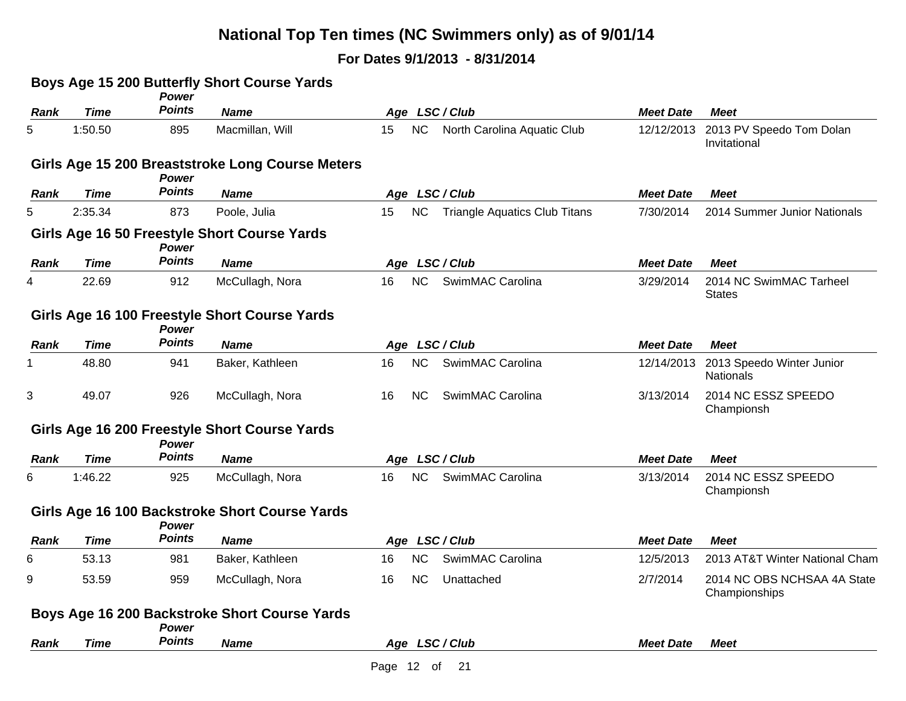|             |             | Power                         | Boys Age 15 200 Butterfly Short Course Yards     |                                                         |                  |                                              |
|-------------|-------------|-------------------------------|--------------------------------------------------|---------------------------------------------------------|------------------|----------------------------------------------|
| <b>Rank</b> | <b>Time</b> | <b>Points</b>                 | <b>Name</b>                                      | Age LSC/Club                                            | <b>Meet Date</b> | <b>Meet</b>                                  |
| 5           | 1:50.50     | 895                           | Macmillan, Will                                  | <b>NC</b><br>15<br>North Carolina Aquatic Club          | 12/12/2013       | 2013 PV Speedo Tom Dolan<br>Invitational     |
|             |             | <b>Power</b>                  | Girls Age 15 200 Breaststroke Long Course Meters |                                                         |                  |                                              |
| Rank        | <b>Time</b> | <b>Points</b>                 | <b>Name</b>                                      | Age LSC/Club                                            | <b>Meet Date</b> | <b>Meet</b>                                  |
| 5           | 2:35.34     | 873                           | Poole, Julia                                     | <b>NC</b><br><b>Triangle Aquatics Club Titans</b><br>15 | 7/30/2014        | 2014 Summer Junior Nationals                 |
|             |             | <b>Power</b>                  | Girls Age 16 50 Freestyle Short Course Yards     |                                                         |                  |                                              |
| Rank        | <b>Time</b> | <b>Points</b>                 | <b>Name</b>                                      | Age LSC/Club                                            | <b>Meet Date</b> | <b>Meet</b>                                  |
| 4           | 22.69       | 912                           | McCullagh, Nora                                  | <b>NC</b><br>16<br>SwimMAC Carolina                     | 3/29/2014        | 2014 NC SwimMAC Tarheel<br><b>States</b>     |
|             |             | <b>Power</b>                  | Girls Age 16 100 Freestyle Short Course Yards    |                                                         |                  |                                              |
| Rank        | <b>Time</b> | <b>Points</b>                 | <b>Name</b>                                      | Age LSC/Club                                            | <b>Meet Date</b> | <b>Meet</b>                                  |
|             | 48.80       | 941                           | Baker, Kathleen                                  | NC<br>SwimMAC Carolina<br>16                            | 12/14/2013       | 2013 Speedo Winter Junior<br>Nationals       |
| 3           | 49.07       | 926                           | McCullagh, Nora                                  | SwimMAC Carolina<br><b>NC</b><br>16                     | 3/13/2014        | 2014 NC ESSZ SPEEDO<br>Championsh            |
|             |             | <b>Power</b>                  | Girls Age 16 200 Freestyle Short Course Yards    |                                                         |                  |                                              |
| <b>Rank</b> | <b>Time</b> | <b>Points</b>                 | <b>Name</b>                                      | Age LSC/Club                                            | <b>Meet Date</b> | <b>Meet</b>                                  |
| 6           | 1:46.22     | 925                           | McCullagh, Nora                                  | <b>NC</b><br>SwimMAC Carolina<br>16                     | 3/13/2014        | 2014 NC ESSZ SPEEDO<br>Championsh            |
|             |             |                               | Girls Age 16 100 Backstroke Short Course Yards   |                                                         |                  |                                              |
| Rank        | Time        | <b>Power</b><br><b>Points</b> | <b>Name</b>                                      | Age LSC/Club                                            | <b>Meet Date</b> | <b>Meet</b>                                  |
| 6           | 53.13       | 981                           | Baker, Kathleen                                  | <b>NC</b><br>SwimMAC Carolina<br>16                     | 12/5/2013        | 2013 AT&T Winter National Cham               |
| 9           | 53.59       | 959                           | McCullagh, Nora                                  | <b>NC</b><br>Unattached<br>16                           | 2/7/2014         | 2014 NC OBS NCHSAA 4A State<br>Championships |
|             |             | <b>Power</b><br><b>Points</b> | Boys Age 16 200 Backstroke Short Course Yards    |                                                         |                  |                                              |
|             |             |                               |                                                  |                                                         | <b>Meet Date</b> | <b>Meet</b>                                  |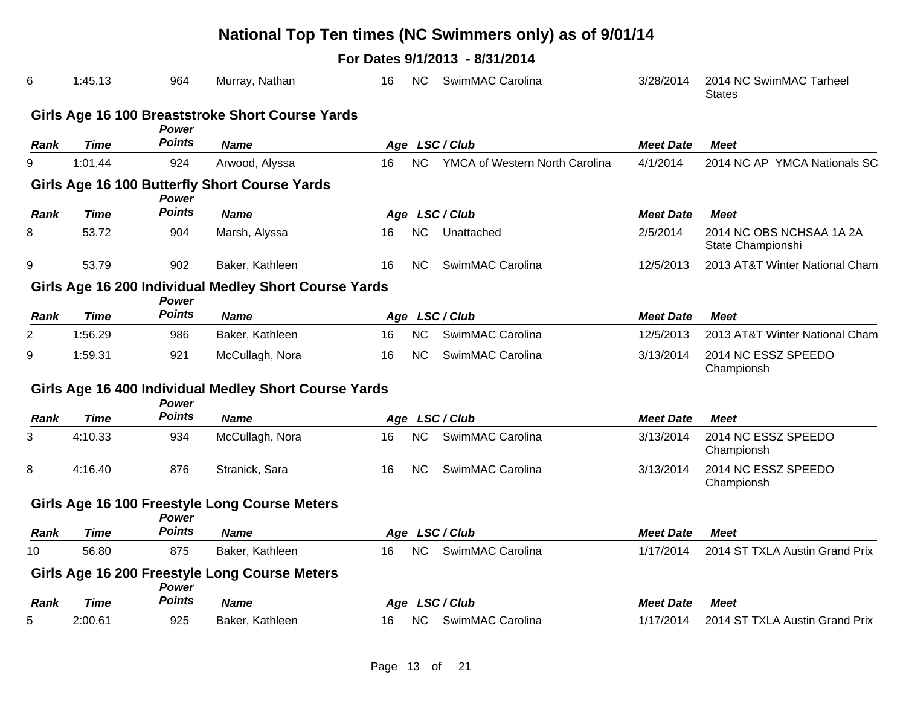|             |             |               |                                                       |    |           | National Top Ten times (NC Swimmers only) as of 9/01/14 |                  |                                               |
|-------------|-------------|---------------|-------------------------------------------------------|----|-----------|---------------------------------------------------------|------------------|-----------------------------------------------|
|             |             |               |                                                       |    |           | For Dates 9/1/2013 - 8/31/2014                          |                  |                                               |
| 6           | 1:45.13     | 964           | Murray, Nathan                                        | 16 | <b>NC</b> | SwimMAC Carolina                                        | 3/28/2014        | 2014 NC SwimMAC Tarheel<br><b>States</b>      |
|             |             | Power         | Girls Age 16 100 Breaststroke Short Course Yards      |    |           |                                                         |                  |                                               |
| <b>Rank</b> | <b>Time</b> | <b>Points</b> | <b>Name</b>                                           |    |           | Age LSC/Club                                            | <b>Meet Date</b> | <b>Meet</b>                                   |
| 9           | 1:01.44     | 924           | Arwood, Alyssa                                        | 16 | NC        | YMCA of Western North Carolina                          | 4/1/2014         | 2014 NC AP YMCA Nationals SC                  |
|             |             | Power         | Girls Age 16 100 Butterfly Short Course Yards         |    |           |                                                         |                  |                                               |
| <b>Rank</b> | <b>Time</b> | <b>Points</b> | <b>Name</b>                                           |    |           | Age LSC/Club                                            | <b>Meet Date</b> | <b>Meet</b>                                   |
| 8           | 53.72       | 904           | Marsh, Alyssa                                         | 16 | <b>NC</b> | Unattached                                              | 2/5/2014         | 2014 NC OBS NCHSAA 1A 2A<br>State Championshi |
| 9           | 53.79       | 902           | Baker, Kathleen                                       | 16 | NC.       | SwimMAC Carolina                                        | 12/5/2013        | 2013 AT&T Winter National Cham                |
|             |             | Power         | Girls Age 16 200 Individual Medley Short Course Yards |    |           |                                                         |                  |                                               |
| Rank        | <b>Time</b> | <b>Points</b> | <b>Name</b>                                           |    |           | Age LSC/Club                                            | <b>Meet Date</b> | <b>Meet</b>                                   |
| 2           | 1:56.29     | 986           | Baker, Kathleen                                       | 16 | <b>NC</b> | SwimMAC Carolina                                        | 12/5/2013        | 2013 AT&T Winter National Cham                |
| 9           | 1:59.31     | 921           | McCullagh, Nora                                       | 16 | <b>NC</b> | SwimMAC Carolina                                        | 3/13/2014        | 2014 NC ESSZ SPEEDO<br>Championsh             |
|             |             | Power         | Girls Age 16 400 Individual Medley Short Course Yards |    |           |                                                         |                  |                                               |
| <b>Rank</b> | <b>Time</b> | <b>Points</b> | <b>Name</b>                                           |    |           | Age LSC/Club                                            | <b>Meet Date</b> | <b>Meet</b>                                   |
| 3           | 4:10.33     | 934           | McCullagh, Nora                                       | 16 | <b>NC</b> | SwimMAC Carolina                                        | 3/13/2014        | 2014 NC ESSZ SPEEDO<br>Championsh             |
| 8           | 4:16.40     | 876           | Stranick, Sara                                        | 16 | <b>NC</b> | SwimMAC Carolina                                        | 3/13/2014        | 2014 NC ESSZ SPEEDO<br>Championsh             |
|             |             | Power         | Girls Age 16 100 Freestyle Long Course Meters         |    |           |                                                         |                  |                                               |
| Rank        | Time        | <b>Points</b> | <b>Name</b>                                           |    |           | Age LSC/Club                                            | <b>Meet Date</b> | <b>Meet</b>                                   |
| 10          | 56.80       | 875           | Baker, Kathleen                                       | 16 | <b>NC</b> | SwimMAC Carolina                                        | 1/17/2014        | 2014 ST TXLA Austin Grand Prix                |
|             |             | <b>Power</b>  | Girls Age 16 200 Freestyle Long Course Meters         |    |           |                                                         |                  |                                               |
| Rank        | <b>Time</b> | <b>Points</b> | <b>Name</b>                                           |    |           | Age LSC/Club                                            | <b>Meet Date</b> | <b>Meet</b>                                   |
| 5           | 2:00.61     | 925           | Baker, Kathleen                                       | 16 | <b>NC</b> | SwimMAC Carolina                                        | 1/17/2014        | 2014 ST TXLA Austin Grand Prix                |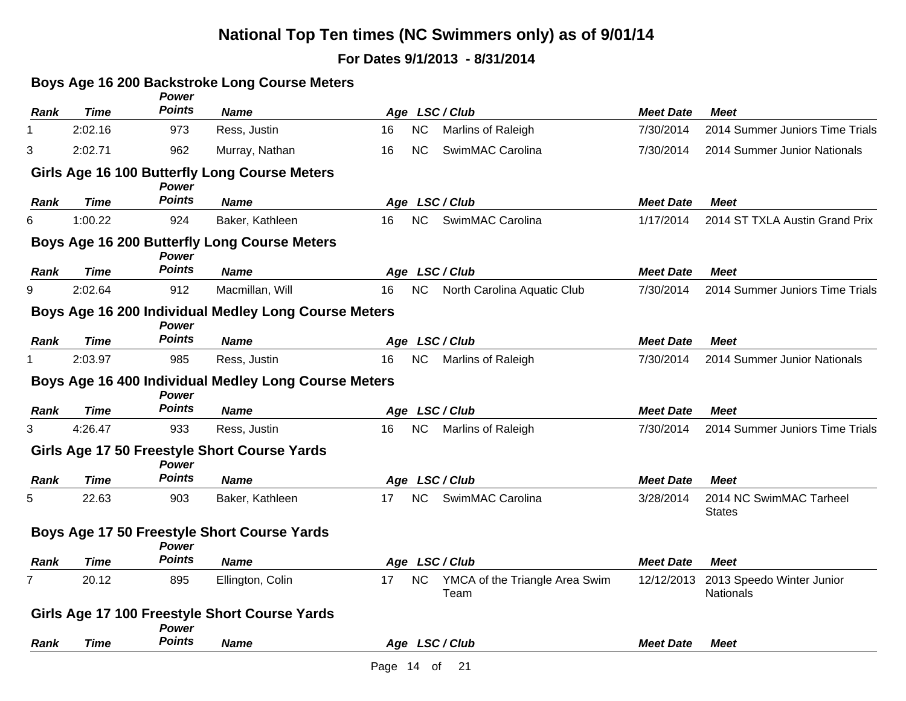### **For Dates 9/1/2013 - 8/31/2014**

### **Boys Age 16 200 Backstroke Long Course Meters**

|             |             | Power                  |                                                      |                                                           |                  |                                          |
|-------------|-------------|------------------------|------------------------------------------------------|-----------------------------------------------------------|------------------|------------------------------------------|
| <b>Rank</b> | <b>Time</b> | <b>Points</b>          | <b>Name</b>                                          | Age LSC/Club                                              | <b>Meet Date</b> | <b>Meet</b>                              |
|             | 2:02.16     | 973                    | Ress, Justin                                         | <b>NC</b><br>16<br>Marlins of Raleigh                     | 7/30/2014        | 2014 Summer Juniors Time Trials          |
| 3           | 2:02.71     | 962                    | Murray, Nathan                                       | SwimMAC Carolina<br>16<br><b>NC</b>                       | 7/30/2014        | 2014 Summer Junior Nationals             |
|             |             | <b>Power</b>           | Girls Age 16 100 Butterfly Long Course Meters        |                                                           |                  |                                          |
| Rank        | Time        | <b>Points</b>          | <b>Name</b>                                          | Age LSC/Club                                              | <b>Meet Date</b> | <b>Meet</b>                              |
| 6           | 1:00.22     | 924                    | Baker, Kathleen                                      | <b>NC</b><br>SwimMAC Carolina<br>16                       | 1/17/2014        | 2014 ST TXLA Austin Grand Prix           |
|             |             | Power                  | <b>Boys Age 16 200 Butterfly Long Course Meters</b>  |                                                           |                  |                                          |
| Rank        | <b>Time</b> | <b>Points</b>          | <b>Name</b>                                          | Age LSC/Club                                              | <b>Meet Date</b> | <b>Meet</b>                              |
| 9           | 2:02.64     | 912                    | Macmillan, Will                                      | NC<br>North Carolina Aquatic Club<br>16                   | 7/30/2014        | 2014 Summer Juniors Time Trials          |
|             |             | Power                  | Boys Age 16 200 Individual Medley Long Course Meters |                                                           |                  |                                          |
| Rank        | <b>Time</b> | <b>Points</b>          | <b>Name</b>                                          | Age LSC/Club                                              | <b>Meet Date</b> | <b>Meet</b>                              |
|             | 2:03.97     | 985                    | Ress, Justin                                         | <b>NC</b><br>Marlins of Raleigh<br>16                     | 7/30/2014        | 2014 Summer Junior Nationals             |
|             |             | <b>Power</b>           | Boys Age 16 400 Individual Medley Long Course Meters |                                                           |                  |                                          |
| Rank        | Time        | <b>Points</b>          | <b>Name</b>                                          | Age LSC/Club                                              | <b>Meet Date</b> | <b>Meet</b>                              |
| 3           | 4:26.47     | 933                    | Ress, Justin                                         | NC<br>Marlins of Raleigh<br>16                            | 7/30/2014        | 2014 Summer Juniors Time Trials          |
|             |             | Power                  | Girls Age 17 50 Freestyle Short Course Yards         |                                                           |                  |                                          |
| Rank        | <b>Time</b> | <b>Points</b>          | <b>Name</b>                                          | Age LSC/Club                                              | <b>Meet Date</b> | <b>Meet</b>                              |
| 5           | 22.63       | 903                    | Baker, Kathleen                                      | SwimMAC Carolina<br><b>NC</b><br>17                       | 3/28/2014        | 2014 NC SwimMAC Tarheel<br><b>States</b> |
|             |             | Power                  | Boys Age 17 50 Freestyle Short Course Yards          |                                                           |                  |                                          |
| Rank        | Time        | <b>Points</b>          | <b>Name</b>                                          | Age LSC/Club                                              | <b>Meet Date</b> | <b>Meet</b>                              |
| 7           | 20.12       | 895                    | Ellington, Colin                                     | <b>NC</b><br>17<br>YMCA of the Triangle Area Swim<br>Team | 12/12/2013       | 2013 Speedo Winter Junior<br>Nationals   |
|             |             |                        | Girls Age 17 100 Freestyle Short Course Yards        |                                                           |                  |                                          |
| Rank        | <b>Time</b> | Power<br><b>Points</b> | <b>Name</b>                                          | Age LSC/Club                                              | <b>Meet Date</b> | <b>Meet</b>                              |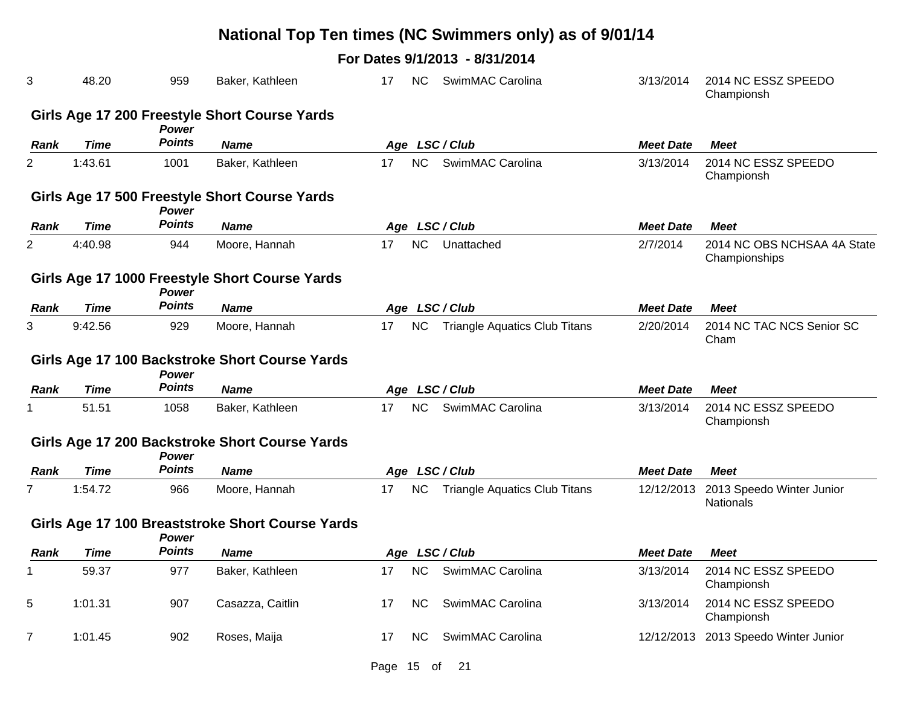|             |             |                               |                                                  |    |           | National Top Ten times (NC Swimmers only) as of 9/01/14 |                  |                                               |
|-------------|-------------|-------------------------------|--------------------------------------------------|----|-----------|---------------------------------------------------------|------------------|-----------------------------------------------|
|             |             |                               |                                                  |    |           | For Dates 9/1/2013 - 8/31/2014                          |                  |                                               |
| 3           | 48.20       | 959                           | Baker, Kathleen                                  | 17 | <b>NC</b> | SwimMAC Carolina                                        | 3/13/2014        | 2014 NC ESSZ SPEEDO<br>Championsh             |
|             |             |                               | Girls Age 17 200 Freestyle Short Course Yards    |    |           |                                                         |                  |                                               |
| Rank        | <b>Time</b> | <b>Power</b><br><b>Points</b> | <b>Name</b>                                      |    |           | Age LSC/Club                                            | <b>Meet Date</b> | <b>Meet</b>                                   |
| 2           | 1:43.61     | 1001                          | Baker, Kathleen                                  | 17 | <b>NC</b> | SwimMAC Carolina                                        | 3/13/2014        | 2014 NC ESSZ SPEEDO<br>Championsh             |
|             |             | Power                         | Girls Age 17 500 Freestyle Short Course Yards    |    |           |                                                         |                  |                                               |
| Rank        | <b>Time</b> | <b>Points</b>                 | <b>Name</b>                                      |    |           | Age LSC/Club                                            | <b>Meet Date</b> | <b>Meet</b>                                   |
| 2           | 4:40.98     | 944                           | Moore, Hannah                                    | 17 | <b>NC</b> | Unattached                                              | 2/7/2014         | 2014 NC OBS NCHSAA 4A State<br>Championships  |
|             |             | <b>Power</b>                  | Girls Age 17 1000 Freestyle Short Course Yards   |    |           |                                                         |                  |                                               |
| Rank        | <b>Time</b> | <b>Points</b>                 | <b>Name</b>                                      |    |           | Age LSC/Club                                            | <b>Meet Date</b> | <b>Meet</b>                                   |
| 3.          | 9:42.56     | 929                           | Moore, Hannah                                    | 17 | <b>NC</b> | <b>Triangle Aquatics Club Titans</b>                    | 2/20/2014        | 2014 NC TAC NCS Senior SC<br>Cham             |
|             |             | <b>Power</b>                  | Girls Age 17 100 Backstroke Short Course Yards   |    |           |                                                         |                  |                                               |
| Rank        | <b>Time</b> | <b>Points</b>                 | <b>Name</b>                                      |    |           | Age LSC/Club                                            | <b>Meet Date</b> | <b>Meet</b>                                   |
|             | 51.51       | 1058                          | Baker, Kathleen                                  | 17 | <b>NC</b> | SwimMAC Carolina                                        | 3/13/2014        | 2014 NC ESSZ SPEEDO<br>Championsh             |
|             |             | <b>Power</b>                  | Girls Age 17 200 Backstroke Short Course Yards   |    |           |                                                         |                  |                                               |
| Rank        | Time        | <b>Points</b>                 | <b>Name</b>                                      |    |           | Age LSC/Club                                            | <b>Meet Date</b> | <b>Meet</b>                                   |
| 7           | 1:54.72     | 966                           | Moore, Hannah                                    | 17 | <b>NC</b> | <b>Triangle Aquatics Club Titans</b>                    | 12/12/2013       | 2013 Speedo Winter Junior<br><b>Nationals</b> |
|             |             | <b>Power</b>                  | Girls Age 17 100 Breaststroke Short Course Yards |    |           |                                                         |                  |                                               |
| <b>Rank</b> | <b>Time</b> | <b>Points</b>                 | <b>Name</b>                                      |    |           | Age LSC/Club                                            | <b>Meet Date</b> | <b>Meet</b>                                   |
| 1           | 59.37       | 977                           | Baker, Kathleen                                  | 17 | <b>NC</b> | SwimMAC Carolina                                        | 3/13/2014        | 2014 NC ESSZ SPEEDO<br>Championsh             |
| 5           | 1:01.31     | 907                           | Casazza, Caitlin                                 | 17 | <b>NC</b> | SwimMAC Carolina                                        | 3/13/2014        | 2014 NC ESSZ SPEEDO<br>Championsh             |
| 7           | 1:01.45     | 902                           | Roses, Maija                                     | 17 | NC.       | SwimMAC Carolina                                        | 12/12/2013       | 2013 Speedo Winter Junior                     |

Page 15 of 21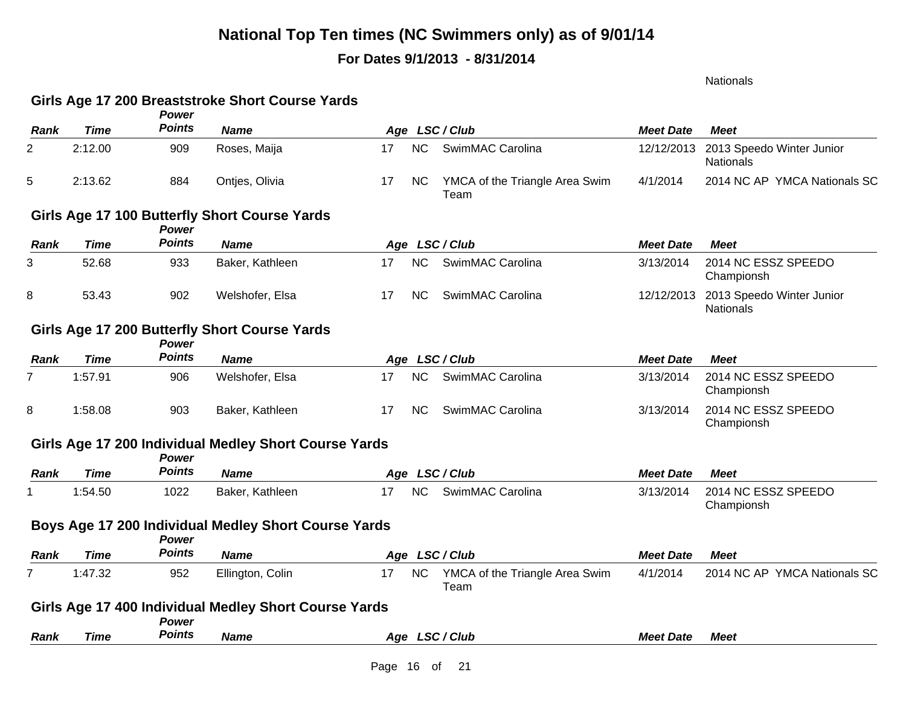### **For Dates 9/1/2013 - 8/31/2014**

Nationals

#### **Girls Age 17 200 Breaststroke Short Course Yards**

|                |             | Power         |                                                       |    |           |                                        |                  |                                               |
|----------------|-------------|---------------|-------------------------------------------------------|----|-----------|----------------------------------------|------------------|-----------------------------------------------|
| <b>Rank</b>    | <b>Time</b> | <b>Points</b> | <b>Name</b>                                           |    |           | Age LSC/Club                           | <b>Meet Date</b> | <b>Meet</b>                                   |
| 2              | 2:12.00     | 909           | Roses, Maija                                          | 17 | <b>NC</b> | SwimMAC Carolina                       | 12/12/2013       | 2013 Speedo Winter Junior<br><b>Nationals</b> |
| 5              | 2:13.62     | 884           | Ontjes, Olivia                                        | 17 | <b>NC</b> | YMCA of the Triangle Area Swim<br>Team | 4/1/2014         | 2014 NC AP YMCA Nationals SC                  |
|                |             | Power         | Girls Age 17 100 Butterfly Short Course Yards         |    |           |                                        |                  |                                               |
| <b>Rank</b>    | <b>Time</b> | <b>Points</b> | <b>Name</b>                                           |    |           | Age LSC/Club                           | <b>Meet Date</b> | <b>Meet</b>                                   |
| 3              | 52.68       | 933           | Baker, Kathleen                                       | 17 | <b>NC</b> | SwimMAC Carolina                       | 3/13/2014        | 2014 NC ESSZ SPEEDO<br>Championsh             |
| 8              | 53.43       | 902           | Welshofer, Elsa                                       | 17 | <b>NC</b> | SwimMAC Carolina                       | 12/12/2013       | 2013 Speedo Winter Junior<br><b>Nationals</b> |
|                |             | Power         | Girls Age 17 200 Butterfly Short Course Yards         |    |           |                                        |                  |                                               |
| Rank           | <b>Time</b> | <b>Points</b> | <b>Name</b>                                           |    |           | Age LSC/Club                           | <b>Meet Date</b> | <b>Meet</b>                                   |
| $\overline{7}$ | 1:57.91     | 906           | Welshofer, Elsa                                       | 17 | <b>NC</b> | SwimMAC Carolina                       | 3/13/2014        | 2014 NC ESSZ SPEEDO<br>Championsh             |
| 8              | 1:58.08     | 903           | Baker, Kathleen                                       | 17 | <b>NC</b> | SwimMAC Carolina                       | 3/13/2014        | 2014 NC ESSZ SPEEDO<br>Championsh             |
|                |             | Power         | Girls Age 17 200 Individual Medley Short Course Yards |    |           |                                        |                  |                                               |
| <b>Rank</b>    | <b>Time</b> | <b>Points</b> | <b>Name</b>                                           |    |           | Age LSC/Club                           | <b>Meet Date</b> | <b>Meet</b>                                   |
| 1              | 1:54.50     | 1022          | Baker, Kathleen                                       | 17 | <b>NC</b> | SwimMAC Carolina                       | 3/13/2014        | 2014 NC ESSZ SPEEDO<br>Championsh             |
|                |             | Power         | Boys Age 17 200 Individual Medley Short Course Yards  |    |           |                                        |                  |                                               |
| Rank           | <b>Time</b> | <b>Points</b> | <b>Name</b>                                           |    |           | Age LSC/Club                           | <b>Meet Date</b> | <b>Meet</b>                                   |
| $\overline{7}$ | 1:47.32     | 952           | Ellington, Colin                                      | 17 | <b>NC</b> | YMCA of the Triangle Area Swim<br>Team | 4/1/2014         | 2014 NC AP YMCA Nationals SC                  |
|                |             |               | Girls Age 17 400 Individual Medley Short Course Yards |    |           |                                        |                  |                                               |
|                |             | Power         |                                                       |    |           |                                        |                  |                                               |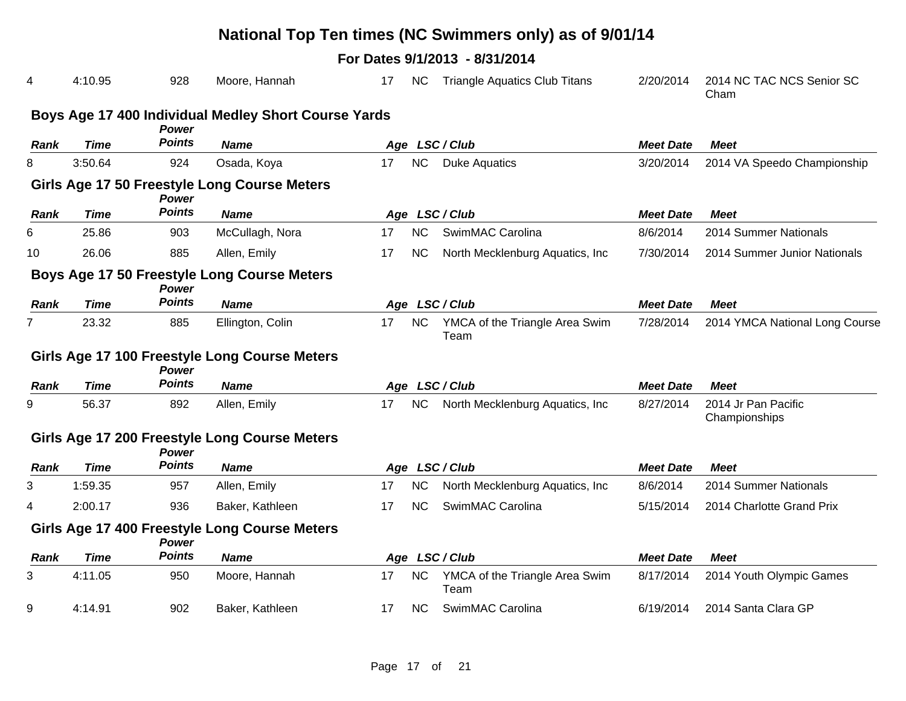|                |             |               |                                                      |    |           | National Top Ten times (NC Swimmers only) as of 9/01/14 |                  |                                      |
|----------------|-------------|---------------|------------------------------------------------------|----|-----------|---------------------------------------------------------|------------------|--------------------------------------|
|                |             |               |                                                      |    |           | For Dates 9/1/2013 - 8/31/2014                          |                  |                                      |
| 4              | 4:10.95     | 928           | Moore, Hannah                                        | 17 | NC.       | <b>Triangle Aquatics Club Titans</b>                    | 2/20/2014        | 2014 NC TAC NCS Senior SC<br>Cham    |
|                |             | Power         | Boys Age 17 400 Individual Medley Short Course Yards |    |           |                                                         |                  |                                      |
| <b>Rank</b>    | <b>Time</b> | Points        | <b>Name</b>                                          |    |           | Age LSC/Club                                            | <b>Meet Date</b> | <b>Meet</b>                          |
| 8              | 3:50.64     | 924           | Osada, Koya                                          | 17 | NC        | <b>Duke Aquatics</b>                                    | 3/20/2014        | 2014 VA Speedo Championship          |
|                |             | <b>Power</b>  | Girls Age 17 50 Freestyle Long Course Meters         |    |           |                                                         |                  |                                      |
| <b>Rank</b>    | <b>Time</b> | <b>Points</b> | <b>Name</b>                                          |    |           | Age LSC/Club                                            | <b>Meet Date</b> | Meet                                 |
| 6              | 25.86       | 903           | McCullagh, Nora                                      | 17 | NC        | SwimMAC Carolina                                        | 8/6/2014         | 2014 Summer Nationals                |
| 10             | 26.06       | 885           | Allen, Emily                                         | 17 | NC.       | North Mecklenburg Aquatics, Inc.                        | 7/30/2014        | 2014 Summer Junior Nationals         |
|                |             | <b>Power</b>  | Boys Age 17 50 Freestyle Long Course Meters          |    |           |                                                         |                  |                                      |
| Rank           | <b>Time</b> | <b>Points</b> | <b>Name</b>                                          |    |           | Age LSC/Club                                            | <b>Meet Date</b> | <b>Meet</b>                          |
| $\overline{7}$ | 23.32       | 885           | Ellington, Colin                                     | 17 | <b>NC</b> | YMCA of the Triangle Area Swim<br>Team                  | 7/28/2014        | 2014 YMCA National Long Course       |
|                |             | <b>Power</b>  | Girls Age 17 100 Freestyle Long Course Meters        |    |           |                                                         |                  |                                      |
| Rank           | Time        | <b>Points</b> | <b>Name</b>                                          |    |           | Age LSC/Club                                            | <b>Meet Date</b> | <b>Meet</b>                          |
| 9              | 56.37       | 892           | Allen, Emily                                         | 17 | <b>NC</b> | North Mecklenburg Aquatics, Inc.                        | 8/27/2014        | 2014 Jr Pan Pacific<br>Championships |
|                |             | <b>Power</b>  | Girls Age 17 200 Freestyle Long Course Meters        |    |           |                                                         |                  |                                      |
| Rank           | <b>Time</b> | <b>Points</b> | <b>Name</b>                                          |    |           | Age LSC/Club                                            | <b>Meet Date</b> | <b>Meet</b>                          |
| 3              | 1:59.35     | 957           | Allen, Emily                                         | 17 | <b>NC</b> | North Mecklenburg Aquatics, Inc.                        | 8/6/2014         | 2014 Summer Nationals                |
| 4              | 2:00.17     | 936           | Baker, Kathleen                                      | 17 | <b>NC</b> | SwimMAC Carolina                                        | 5/15/2014        | 2014 Charlotte Grand Prix            |
|                |             | <b>Power</b>  | Girls Age 17 400 Freestyle Long Course Meters        |    |           |                                                         |                  |                                      |
| Rank           | Time        | <b>Points</b> | <b>Name</b>                                          |    |           | Age LSC/Club                                            | <b>Meet Date</b> | <b>Meet</b>                          |
| 3              | 4:11.05     | 950           | Moore, Hannah                                        | 17 | <b>NC</b> | YMCA of the Triangle Area Swim<br>Team                  | 8/17/2014        | 2014 Youth Olympic Games             |
| 9              | 4:14.91     | 902           | Baker, Kathleen                                      | 17 | <b>NC</b> | SwimMAC Carolina                                        | 6/19/2014        | 2014 Santa Clara GP                  |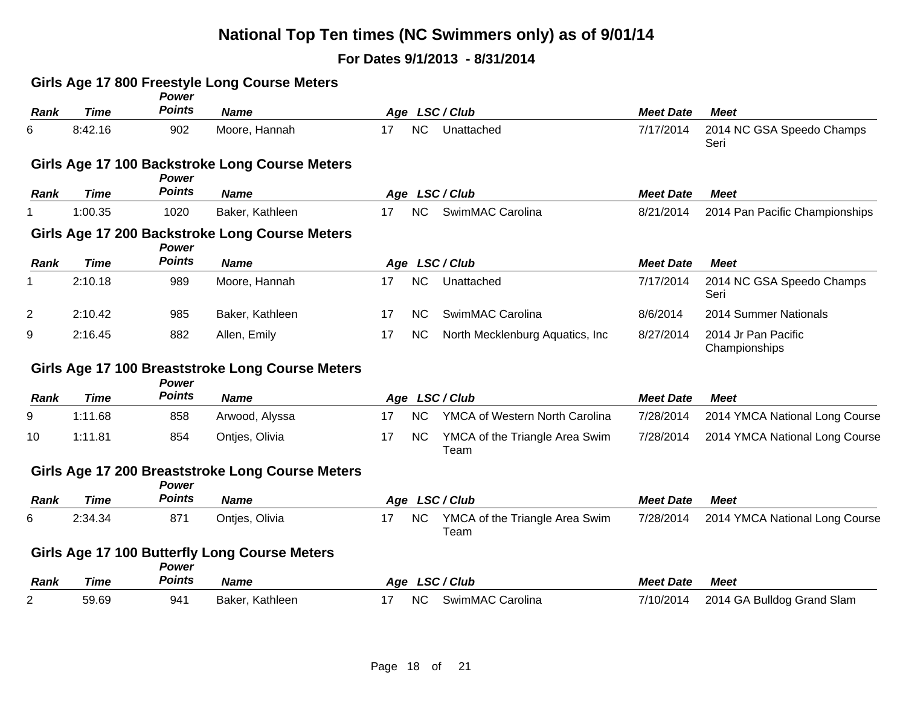|                |             | Power         | Girls Age 17 800 Freestyle Long Course Meters    |    |           |                                        |                  |                                      |
|----------------|-------------|---------------|--------------------------------------------------|----|-----------|----------------------------------------|------------------|--------------------------------------|
| <b>Rank</b>    | <b>Time</b> | <b>Points</b> | <b>Name</b>                                      |    |           | Age LSC/Club                           | <b>Meet Date</b> | <b>Meet</b>                          |
| 6              | 8:42.16     | 902           | Moore, Hannah                                    | 17 | NC        | Unattached                             | 7/17/2014        | 2014 NC GSA Speedo Champs<br>Seri    |
|                |             | Power         | Girls Age 17 100 Backstroke Long Course Meters   |    |           |                                        |                  |                                      |
| <b>Rank</b>    | <b>Time</b> | <b>Points</b> | <b>Name</b>                                      |    |           | Age LSC/Club                           | <b>Meet Date</b> | Meet                                 |
|                | 1:00.35     | 1020          | Baker, Kathleen                                  | 17 | <b>NC</b> | SwimMAC Carolina                       | 8/21/2014        | 2014 Pan Pacific Championships       |
|                |             | <b>Power</b>  | Girls Age 17 200 Backstroke Long Course Meters   |    |           |                                        |                  |                                      |
| <b>Rank</b>    | <b>Time</b> | <b>Points</b> | <b>Name</b>                                      |    |           | Age LSC/Club                           | <b>Meet Date</b> | <b>Meet</b>                          |
| 1.             | 2:10.18     | 989           | Moore, Hannah                                    | 17 | NC        | Unattached                             | 7/17/2014        | 2014 NC GSA Speedo Champs<br>Seri    |
| $\overline{2}$ | 2:10.42     | 985           | Baker, Kathleen                                  | 17 | NC.       | SwimMAC Carolina                       | 8/6/2014         | 2014 Summer Nationals                |
| 9              | 2:16.45     | 882           | Allen, Emily                                     | 17 | <b>NC</b> | North Mecklenburg Aquatics, Inc.       | 8/27/2014        | 2014 Jr Pan Pacific<br>Championships |
|                |             | Power         | Girls Age 17 100 Breaststroke Long Course Meters |    |           |                                        |                  |                                      |
| <b>Rank</b>    | <b>Time</b> | <b>Points</b> | <b>Name</b>                                      |    |           | Age LSC/Club                           | <b>Meet Date</b> | <b>Meet</b>                          |
| 9              | 1:11.68     | 858           | Arwood, Alyssa                                   | 17 | <b>NC</b> | YMCA of Western North Carolina         | 7/28/2014        | 2014 YMCA National Long Course       |
| 10             | 1:11.81     | 854           | Ontjes, Olivia                                   | 17 | <b>NC</b> | YMCA of the Triangle Area Swim<br>Team | 7/28/2014        | 2014 YMCA National Long Course       |
|                |             | Power         | Girls Age 17 200 Breaststroke Long Course Meters |    |           |                                        |                  |                                      |
| Rank           | <b>Time</b> | <b>Points</b> | <b>Name</b>                                      |    |           | Age LSC/Club                           | <b>Meet Date</b> | <b>Meet</b>                          |
| 6              | 2:34.34     | 871           | Ontjes, Olivia                                   | 17 | <b>NC</b> | YMCA of the Triangle Area Swim<br>Team | 7/28/2014        | 2014 YMCA National Long Course       |
|                |             | Power         | Girls Age 17 100 Butterfly Long Course Meters    |    |           |                                        |                  |                                      |
| <b>Rank</b>    | <b>Time</b> | <b>Points</b> | <b>Name</b>                                      |    |           | Age LSC/Club                           | <b>Meet Date</b> | <b>Meet</b>                          |
| 2              | 59.69       | 941           | Baker, Kathleen                                  | 17 | <b>NC</b> | SwimMAC Carolina                       | 7/10/2014        | 2014 GA Bulldog Grand Slam           |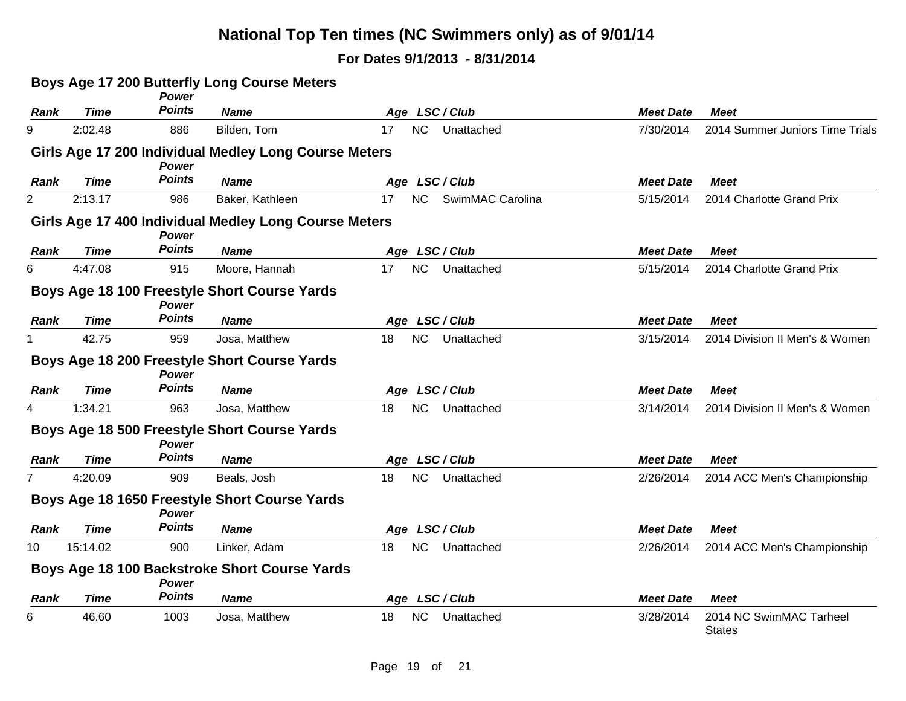|             |             | <b>Power</b>  | Boys Age 17 200 Butterfly Long Course Meters          |                               |                  |                                          |
|-------------|-------------|---------------|-------------------------------------------------------|-------------------------------|------------------|------------------------------------------|
| Rank        | <b>Time</b> | <b>Points</b> | <b>Name</b>                                           | Age LSC/Club                  | <b>Meet Date</b> | <b>Meet</b>                              |
| 9           | 2:02.48     | 886           | Bilden, Tom                                           | NC<br>Unattached<br>17        | 7/30/2014        | 2014 Summer Juniors Time Trials          |
|             |             | <b>Power</b>  | Girls Age 17 200 Individual Medley Long Course Meters |                               |                  |                                          |
| Rank        | <b>Time</b> | <b>Points</b> | <b>Name</b>                                           | Age LSC/Club                  | <b>Meet Date</b> | <b>Meet</b>                              |
| 2           | 2:13.17     | 986           | Baker, Kathleen                                       | NC<br>SwimMAC Carolina<br>17  | 5/15/2014        | 2014 Charlotte Grand Prix                |
|             |             | <b>Power</b>  | Girls Age 17 400 Individual Medley Long Course Meters |                               |                  |                                          |
| Rank        | <b>Time</b> | <b>Points</b> | <b>Name</b>                                           | Age LSC/Club                  | <b>Meet Date</b> | <b>Meet</b>                              |
| 6           | 4:47.08     | 915           | Moore, Hannah                                         | <b>NC</b><br>17<br>Unattached | 5/15/2014        | 2014 Charlotte Grand Prix                |
|             |             | Power         | Boys Age 18 100 Freestyle Short Course Yards          |                               |                  |                                          |
| <b>Rank</b> | <b>Time</b> | <b>Points</b> | <b>Name</b>                                           | Age LSC/Club                  | <b>Meet Date</b> | <b>Meet</b>                              |
|             | 42.75       | 959           | Josa, Matthew                                         | <b>NC</b><br>Unattached<br>18 | 3/15/2014        | 2014 Division II Men's & Women           |
|             |             | <b>Power</b>  | Boys Age 18 200 Freestyle Short Course Yards          |                               |                  |                                          |
| <b>Rank</b> | <b>Time</b> | <b>Points</b> | <b>Name</b>                                           | Age LSC/Club                  | <b>Meet Date</b> | <b>Meet</b>                              |
| 4           | 1:34.21     | 963           | Josa, Matthew                                         | NC<br>18<br>Unattached        | 3/14/2014        | 2014 Division II Men's & Women           |
|             |             | Power         | Boys Age 18 500 Freestyle Short Course Yards          |                               |                  |                                          |
| Rank        | <b>Time</b> | <b>Points</b> | <b>Name</b>                                           | Age LSC/Club                  | <b>Meet Date</b> | <b>Meet</b>                              |
|             | 4:20.09     | 909           | Beals, Josh                                           | NC<br>18<br>Unattached        | 2/26/2014        | 2014 ACC Men's Championship              |
|             |             | <b>Power</b>  | Boys Age 18 1650 Freestyle Short Course Yards         |                               |                  |                                          |
| Rank        | <b>Time</b> | <b>Points</b> | <b>Name</b>                                           | Age LSC/Club                  | <b>Meet Date</b> | <b>Meet</b>                              |
| 10          | 15:14.02    | 900           | Linker, Adam                                          | <b>NC</b><br>Unattached<br>18 | 2/26/2014        | 2014 ACC Men's Championship              |
|             |             | Power         | Boys Age 18 100 Backstroke Short Course Yards         |                               |                  |                                          |
| Rank        | <b>Time</b> | <b>Points</b> | <b>Name</b>                                           | Age LSC/Club                  | <b>Meet Date</b> | <b>Meet</b>                              |
| 6           | 46.60       | 1003          | Josa, Matthew                                         | NC<br>Unattached<br>18        | 3/28/2014        | 2014 NC SwimMAC Tarheel<br><b>States</b> |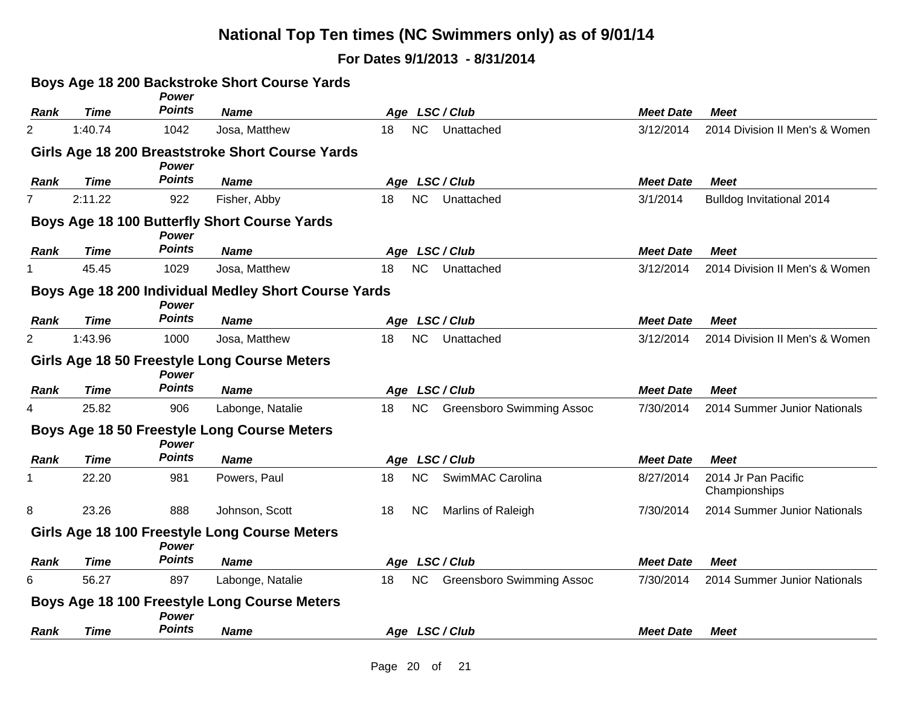|             |             | Power         | Boys Age 18 200 Backstroke Short Course Yards        |    |           |                                  |                  |                                      |
|-------------|-------------|---------------|------------------------------------------------------|----|-----------|----------------------------------|------------------|--------------------------------------|
| Rank        | <b>Time</b> | <b>Points</b> | <b>Name</b>                                          |    |           | Age LSC/Club                     | <b>Meet Date</b> | <b>Meet</b>                          |
| 2           | 1:40.74     | 1042          | Josa, Matthew                                        | 18 | NC        | Unattached                       | 3/12/2014        | 2014 Division II Men's & Women       |
|             |             | <b>Power</b>  | Girls Age 18 200 Breaststroke Short Course Yards     |    |           |                                  |                  |                                      |
| Rank        | <b>Time</b> | <b>Points</b> | <b>Name</b>                                          |    |           | Age LSC/Club                     | <b>Meet Date</b> | <b>Meet</b>                          |
|             | 2:11.22     | 922           | Fisher, Abby                                         | 18 | <b>NC</b> | Unattached                       | 3/1/2014         | Bulldog Invitational 2014            |
|             |             | <b>Power</b>  | Boys Age 18 100 Butterfly Short Course Yards         |    |           |                                  |                  |                                      |
| Rank        | <b>Time</b> | <b>Points</b> | <b>Name</b>                                          |    |           | Age LSC/Club                     | <b>Meet Date</b> | <b>Meet</b>                          |
|             | 45.45       | 1029          | Josa, Matthew                                        | 18 | NC        | Unattached                       | 3/12/2014        | 2014 Division II Men's & Women       |
|             |             | Power         | Boys Age 18 200 Individual Medley Short Course Yards |    |           |                                  |                  |                                      |
| Rank        | <b>Time</b> | <b>Points</b> | <b>Name</b>                                          |    |           | Age LSC/Club                     | <b>Meet Date</b> | <b>Meet</b>                          |
| 2           | 1:43.96     | 1000          | Josa, Matthew                                        | 18 | <b>NC</b> | Unattached                       | 3/12/2014        | 2014 Division II Men's & Women       |
|             |             | <b>Power</b>  | Girls Age 18 50 Freestyle Long Course Meters         |    |           |                                  |                  |                                      |
| Rank        | <b>Time</b> | <b>Points</b> | <b>Name</b>                                          |    |           | Age LSC/Club                     | <b>Meet Date</b> | <b>Meet</b>                          |
| 4           | 25.82       | 906           | Labonge, Natalie                                     | 18 | <b>NC</b> | <b>Greensboro Swimming Assoc</b> | 7/30/2014        | 2014 Summer Junior Nationals         |
|             |             | Power         | Boys Age 18 50 Freestyle Long Course Meters          |    |           |                                  |                  |                                      |
| <b>Rank</b> | <b>Time</b> | <b>Points</b> | <b>Name</b>                                          |    |           | Age LSC/Club                     | <b>Meet Date</b> | <b>Meet</b>                          |
|             | 22.20       | 981           | Powers, Paul                                         | 18 | <b>NC</b> | SwimMAC Carolina                 | 8/27/2014        | 2014 Jr Pan Pacific<br>Championships |
| 8           | 23.26       | 888           | Johnson, Scott                                       | 18 | <b>NC</b> | Marlins of Raleigh               | 7/30/2014        | 2014 Summer Junior Nationals         |
|             |             | <b>Power</b>  | Girls Age 18 100 Freestyle Long Course Meters        |    |           |                                  |                  |                                      |
| Rank        | <b>Time</b> | <b>Points</b> | <b>Name</b>                                          |    |           | Age LSC/Club                     | <b>Meet Date</b> | <b>Meet</b>                          |
| 6           | 56.27       | 897           | Labonge, Natalie                                     | 18 | <b>NC</b> | <b>Greensboro Swimming Assoc</b> | 7/30/2014        | 2014 Summer Junior Nationals         |
|             |             | Power         | Boys Age 18 100 Freestyle Long Course Meters         |    |           |                                  |                  |                                      |
| <b>Rank</b> | <b>Time</b> | <b>Points</b> | <b>Name</b>                                          |    |           | Age LSC/Club                     | <b>Meet Date</b> | Meet                                 |